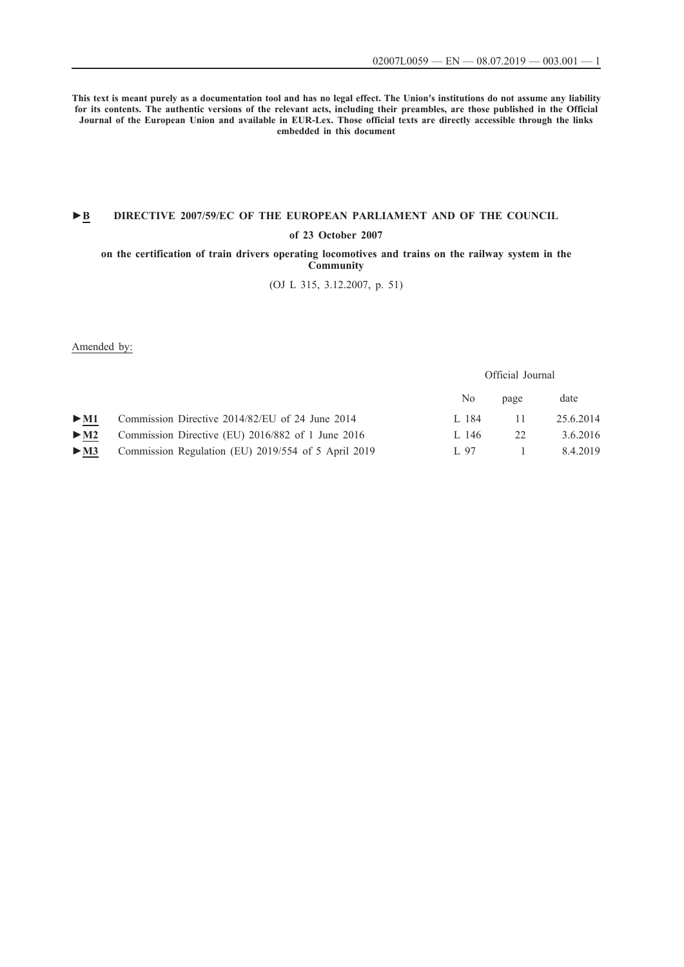Official Journal

**This text is meant purely as a documentation tool and has no legal effect. The Union's institutions do not assume any liability for its contents. The authentic versions of the relevant acts, including their preambles, are those published in the Official Journal of the European Union and available in EUR-Lex. Those official texts are directly accessible through the links embedded in this document**

# **►B [DIRECTIVE 2007/59/EC OF THE EUROPEAN PARLIAMENT AND OF THE COUNCIL](http://data.europa.eu/eli/dir/2007/59/oj/eng)**

### **[of 23 October 2007](http://data.europa.eu/eli/dir/2007/59/oj/eng)**

**[on the certification of train drivers operating locomotives and trains on the railway system in the](http://data.europa.eu/eli/dir/2007/59/oj/eng) [Community](http://data.europa.eu/eli/dir/2007/59/oj/eng)**

[\(OJ L 315, 3.12.2007, p. 51\)](http://data.europa.eu/eli/dir/2007/59/oj/eng)

Amended by:

No page date [►](http://data.europa.eu/eli/dir/2014/82/oj/eng) [M1](http://data.europa.eu/eli/dir/2014/82/oj/eng) [Commission Directive 2014/82/EU of 24 June 2014](http://data.europa.eu/eli/dir/2014/82/oj/eng) [L 184 11 25.6.2014](http://data.europa.eu/eli/dir/2014/82/oj/eng) [►](http://data.europa.eu/eli/dir/2016/882/oj/eng) [M2](http://data.europa.eu/eli/dir/2016/882/oj/eng) [Commission Directive \(EU\) 2016/882 of 1 June 2016 L 146 22 3.6.2016](http://data.europa.eu/eli/dir/2016/882/oj/eng) [►](http://data.europa.eu/eli/reg/2019/554/oj/eng) [M3](http://data.europa.eu/eli/reg/2019/554/oj/eng) [Commission Regulation \(EU\) 2019/554 of 5 April 2019 L 97](http://data.europa.eu/eli/reg/2019/554/oj/eng) [1 8.4.2019](http://data.europa.eu/eli/reg/2019/554/oj/eng)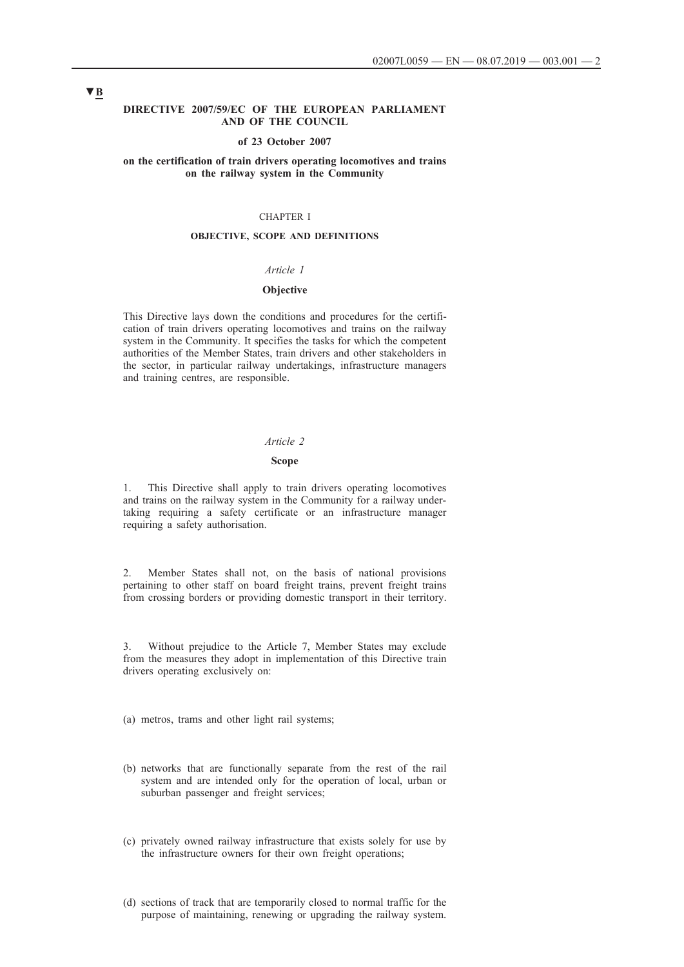#### **DIRECTIVE 2007/59/EC OF THE EUROPEAN PARLIAMENT AND OF THE COUNCIL**

#### **of 23 October 2007**

## **on the certification of train drivers operating locomotives and trains on the railway system in the Community**

## CHAPTER I

## **OBJECTIVE, SCOPE AND DEFINITIONS**

## *Article 1*

### **Objective**

This Directive lays down the conditions and procedures for the certification of train drivers operating locomotives and trains on the railway system in the Community. It specifies the tasks for which the competent authorities of the Member States, train drivers and other stakeholders in the sector, in particular railway undertakings, infrastructure managers and training centres, are responsible.

#### *Article 2*

## **Scope**

1. This Directive shall apply to train drivers operating locomotives and trains on the railway system in the Community for a railway undertaking requiring a safety certificate or an infrastructure manager requiring a safety authorisation.

2. Member States shall not, on the basis of national provisions pertaining to other staff on board freight trains, prevent freight trains from crossing borders or providing domestic transport in their territory.

3. Without prejudice to the Article 7, Member States may exclude from the measures they adopt in implementation of this Directive train drivers operating exclusively on:

(a) metros, trams and other light rail systems;

- (b) networks that are functionally separate from the rest of the rail system and are intended only for the operation of local, urban or suburban passenger and freight services;
- (c) privately owned railway infrastructure that exists solely for use by the infrastructure owners for their own freight operations;
- (d) sections of track that are temporarily closed to normal traffic for the purpose of maintaining, renewing or upgrading the railway system.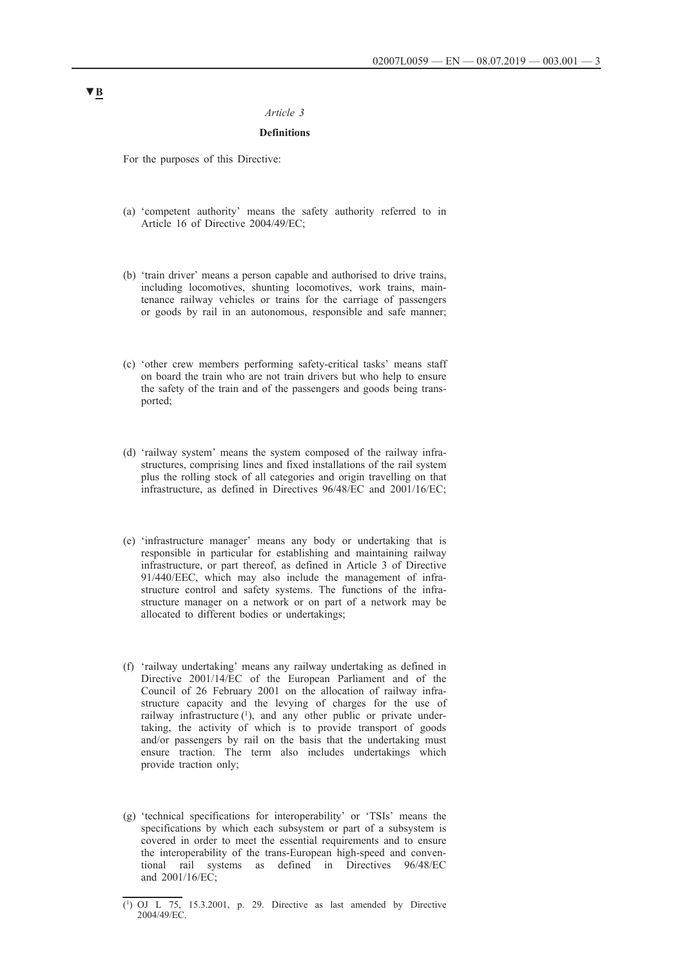### *Article 3*

## **Definitions**

For the purposes of this Directive:

- (a) 'competent authority' means the safety authority referred to in Article 16 of Directive 2004/49/EC;
- (b) 'train driver' means a person capable and authorised to drive trains, including locomotives, shunting locomotives, work trains, maintenance railway vehicles or trains for the carriage of passengers or goods by rail in an autonomous, responsible and safe manner;
- (c) 'other crew members performing safety-critical tasks' means staff on board the train who are not train drivers but who help to ensure the safety of the train and of the passengers and goods being transported;
- (d) 'railway system' means the system composed of the railway infrastructures, comprising lines and fixed installations of the rail system plus the rolling stock of all categories and origin travelling on that infrastructure, as defined in Directives 96/48/EC and 2001/16/EC;
- (e) 'infrastructure manager' means any body or undertaking that is responsible in particular for establishing and maintaining railway infrastructure, or part thereof, as defined in Article 3 of Directive 91/440/EEC, which may also include the management of infrastructure control and safety systems. The functions of the infrastructure manager on a network or on part of a network may be allocated to different bodies or undertakings;
- (f) 'railway undertaking' means any railway undertaking as defined in Directive 2001/14/EC of the European Parliament and of the Council of 26 February 2001 on the allocation of railway infrastructure capacity and the levying of charges for the use of railway infrastructure  $(1)$ , and any other public or private undertaking, the activity of which is to provide transport of goods and/or passengers by rail on the basis that the undertaking must ensure traction. The term also includes undertakings which provide traction only;
- (g) 'technical specifications for interoperability' or 'TSIs' means the specifications by which each subsystem or part of a subsystem is covered in order to meet the essential requirements and to ensure the interoperability of the trans-European high-speed and conventional rail systems as defined in Directives 96/48/EC and 2001/16/EC;

<sup>(1)</sup> OJ L 75, 15.3.2001, p. 29. Directive as last amended by Directive 2004/49/EC.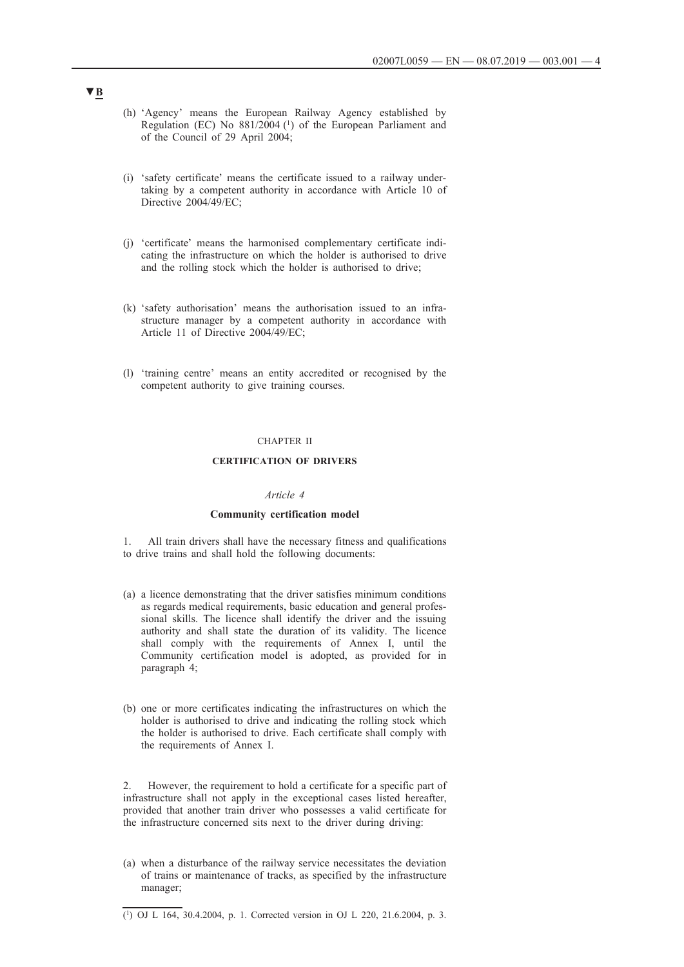- (h) 'Agency' means the European Railway Agency established by Regulation (EC) No  $881/2004$  (<sup>1</sup>) of the European Parliament and of the Council of 29 April 2004;
- (i) 'safety certificate' means the certificate issued to a railway undertaking by a competent authority in accordance with Article 10 of Directive 2004/49/EC;
- (j) 'certificate' means the harmonised complementary certificate indicating the infrastructure on which the holder is authorised to drive and the rolling stock which the holder is authorised to drive;
- (k) 'safety authorisation' means the authorisation issued to an infrastructure manager by a competent authority in accordance with Article 11 of Directive 2004/49/EC;
- (l) 'training centre' means an entity accredited or recognised by the competent authority to give training courses.

#### CHAPTER II

## **CERTIFICATION OF DRIVERS**

## *Article 4*

#### **Community certification model**

1. All train drivers shall have the necessary fitness and qualifications to drive trains and shall hold the following documents:

- (a) a licence demonstrating that the driver satisfies minimum conditions as regards medical requirements, basic education and general professional skills. The licence shall identify the driver and the issuing authority and shall state the duration of its validity. The licence shall comply with the requirements of Annex I, until the Community certification model is adopted, as provided for in paragraph 4;
- (b) one or more certificates indicating the infrastructures on which the holder is authorised to drive and indicating the rolling stock which the holder is authorised to drive. Each certificate shall comply with the requirements of Annex I.

2. However, the requirement to hold a certificate for a specific part of infrastructure shall not apply in the exceptional cases listed hereafter, provided that another train driver who possesses a valid certificate for the infrastructure concerned sits next to the driver during driving:

(a) when a disturbance of the railway service necessitates the deviation of trains or maintenance of tracks, as specified by the infrastructure manager;

## (1) OJ L 164, 30.4.2004, p. 1. Corrected version in OJ L 220, 21.6.2004, p. 3.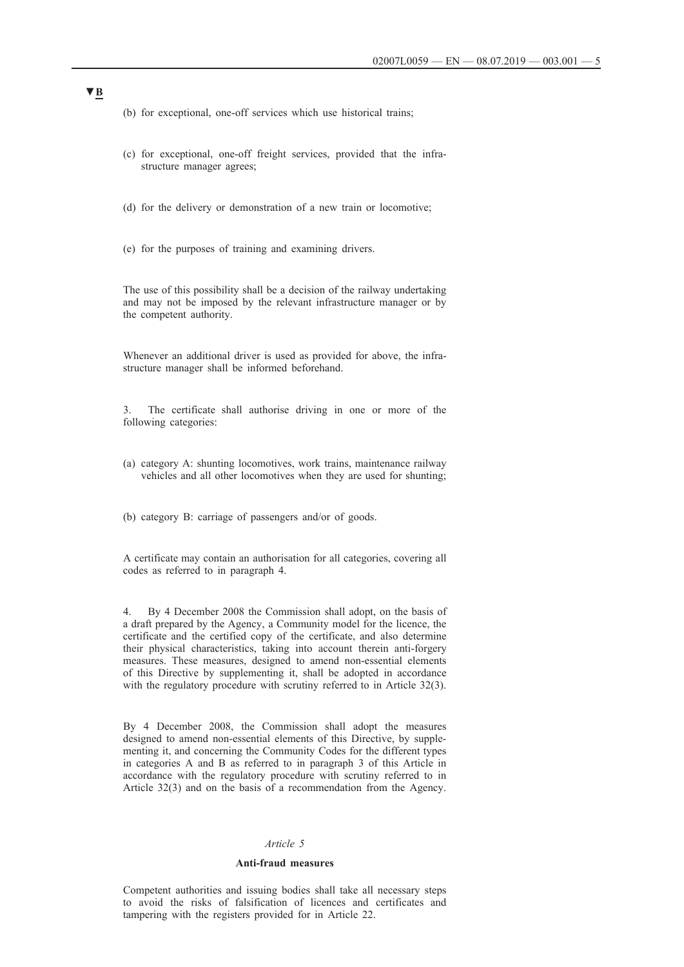- (b) for exceptional, one-off services which use historical trains;
- (c) for exceptional, one-off freight services, provided that the infrastructure manager agrees;
- (d) for the delivery or demonstration of a new train or locomotive;
- (e) for the purposes of training and examining drivers.

The use of this possibility shall be a decision of the railway undertaking and may not be imposed by the relevant infrastructure manager or by the competent authority.

Whenever an additional driver is used as provided for above, the infrastructure manager shall be informed beforehand.

3. The certificate shall authorise driving in one or more of the following categories:

- (a) category A: shunting locomotives, work trains, maintenance railway vehicles and all other locomotives when they are used for shunting;
- (b) category B: carriage of passengers and/or of goods.

A certificate may contain an authorisation for all categories, covering all codes as referred to in paragraph 4.

4. By 4 December 2008 the Commission shall adopt, on the basis of a draft prepared by the Agency, a Community model for the licence, the certificate and the certified copy of the certificate, and also determine their physical characteristics, taking into account therein anti-forgery measures. These measures, designed to amend non-essential elements of this Directive by supplementing it, shall be adopted in accordance with the regulatory procedure with scrutiny referred to in Article 32(3).

By 4 December 2008, the Commission shall adopt the measures designed to amend non-essential elements of this Directive, by supplementing it, and concerning the Community Codes for the different types in categories A and B as referred to in paragraph 3 of this Article in accordance with the regulatory procedure with scrutiny referred to in Article 32(3) and on the basis of a recommendation from the Agency.

#### *Article 5*

### **Anti-fraud measures**

Competent authorities and issuing bodies shall take all necessary steps to avoid the risks of falsification of licences and certificates and tampering with the registers provided for in Article 22.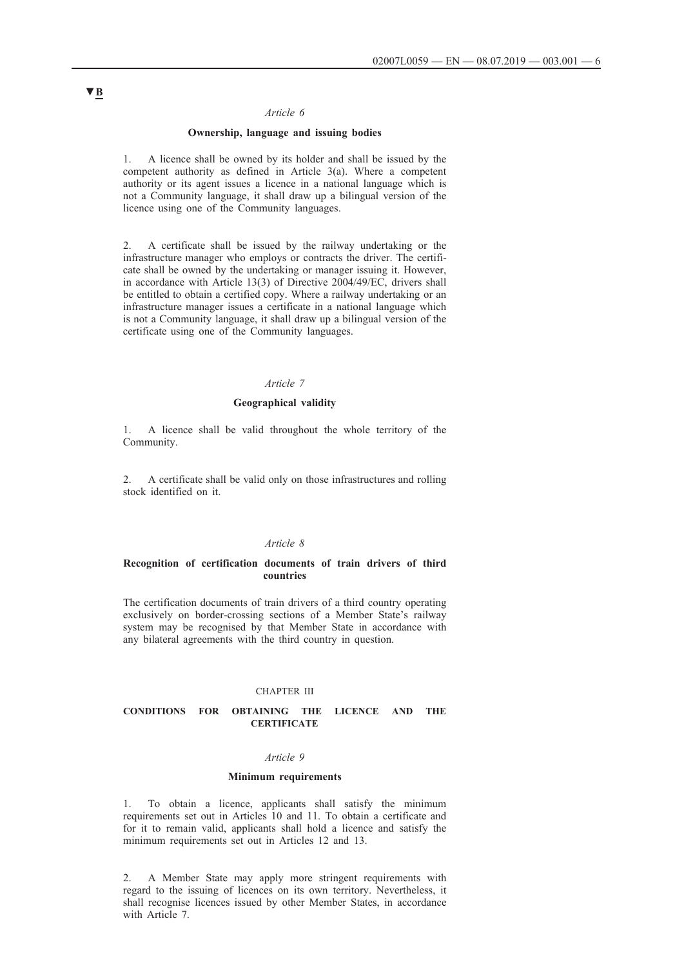### *Article 6*

## **Ownership, language and issuing bodies**

1. A licence shall be owned by its holder and shall be issued by the competent authority as defined in Article 3(a). Where a competent authority or its agent issues a licence in a national language which is not a Community language, it shall draw up a bilingual version of the licence using one of the Community languages.

2. A certificate shall be issued by the railway undertaking or the infrastructure manager who employs or contracts the driver. The certificate shall be owned by the undertaking or manager issuing it. However, in accordance with Article 13(3) of Directive 2004/49/EC, drivers shall be entitled to obtain a certified copy. Where a railway undertaking or an infrastructure manager issues a certificate in a national language which is not a Community language, it shall draw up a bilingual version of the certificate using one of the Community languages.

### *Article 7*

### **Geographical validity**

1. A licence shall be valid throughout the whole territory of the Community.

2. A certificate shall be valid only on those infrastructures and rolling stock identified on it.

#### *Article 8*

### **Recognition of certification documents of train drivers of third countries**

The certification documents of train drivers of a third country operating exclusively on border-crossing sections of a Member State's railway system may be recognised by that Member State in accordance with any bilateral agreements with the third country in question.

#### CHAPTER III

## **CONDITIONS FOR OBTAINING THE LICENCE AND THE CERTIFICATE**

## *Article 9*

### **Minimum requirements**

1. To obtain a licence, applicants shall satisfy the minimum requirements set out in Articles 10 and 11. To obtain a certificate and for it to remain valid, applicants shall hold a licence and satisfy the minimum requirements set out in Articles 12 and 13.

2. A Member State may apply more stringent requirements with regard to the issuing of licences on its own territory. Nevertheless, it shall recognise licences issued by other Member States, in accordance with Article 7.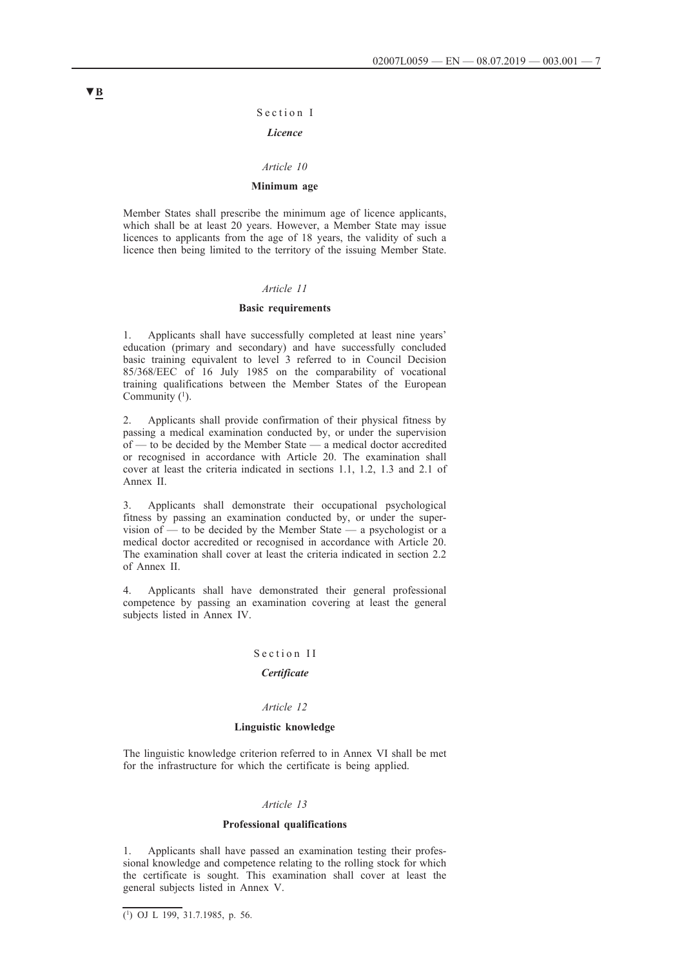#### Section I

### *Licence*

#### *Article 10*

## **Minimum age**

Member States shall prescribe the minimum age of licence applicants, which shall be at least 20 years. However, a Member State may issue licences to applicants from the age of 18 years, the validity of such a licence then being limited to the territory of the issuing Member State.

## *Article 11*

### **Basic requirements**

1. Applicants shall have successfully completed at least nine years' education (primary and secondary) and have successfully concluded basic training equivalent to level 3 referred to in Council Decision 85/368/EEC of 16 July 1985 on the comparability of vocational training qualifications between the Member States of the European Community  $(1)$ .

2. Applicants shall provide confirmation of their physical fitness by passing a medical examination conducted by, or under the supervision of — to be decided by the Member State — a medical doctor accredited or recognised in accordance with Article 20. The examination shall cover at least the criteria indicated in sections 1.1, 1.2, 1.3 and 2.1 of Annex II.

3. Applicants shall demonstrate their occupational psychological fitness by passing an examination conducted by, or under the supervision of — to be decided by the Member State — a psychologist or a medical doctor accredited or recognised in accordance with Article 20. The examination shall cover at least the criteria indicated in section 2.2 of Annex II.

4. Applicants shall have demonstrated their general professional competence by passing an examination covering at least the general subjects listed in Annex IV.

#### Section II

## *Certificate*

#### *Article 12*

### **Linguistic knowledge**

The linguistic knowledge criterion referred to in Annex VI shall be met for the infrastructure for which the certificate is being applied.

#### *Article 13*

#### **Professional qualifications**

1. Applicants shall have passed an examination testing their professional knowledge and competence relating to the rolling stock for which the certificate is sought. This examination shall cover at least the general subjects listed in Annex V.

<sup>(1)</sup> OJ L 199, 31.7.1985, p. 56.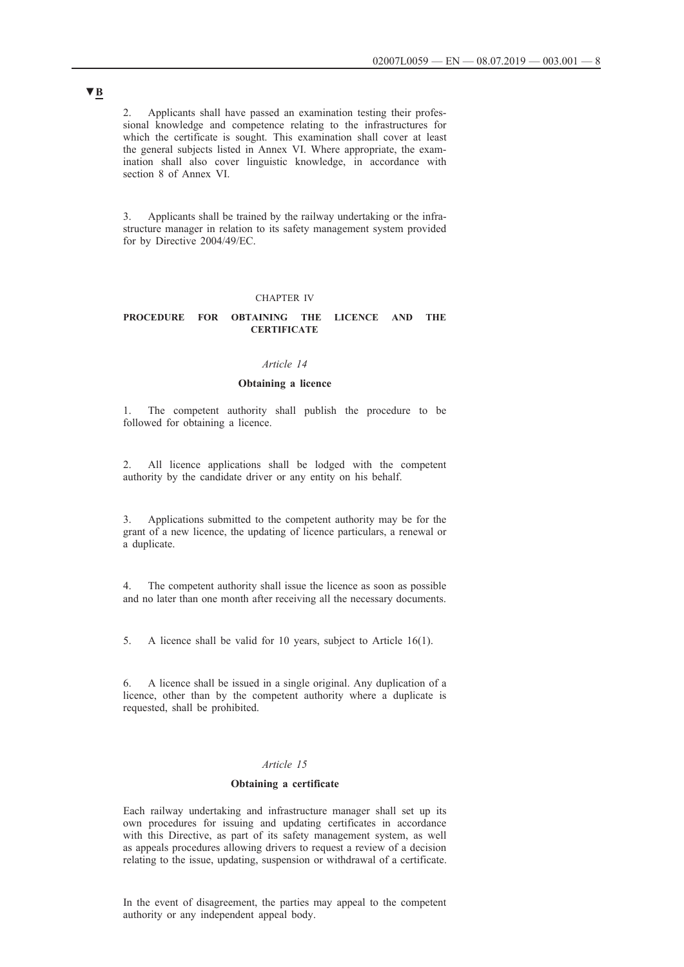2. Applicants shall have passed an examination testing their professional knowledge and competence relating to the infrastructures for which the certificate is sought. This examination shall cover at least the general subjects listed in Annex VI. Where appropriate, the examination shall also cover linguistic knowledge, in accordance with section 8 of Annex VI.

3. Applicants shall be trained by the railway undertaking or the infrastructure manager in relation to its safety management system provided for by Directive 2004/49/EC.

### CHAPTER IV

## **PROCEDURE FOR OBTAINING THE LICENCE AND THE CERTIFICATE**

#### *Article 14*

## **Obtaining a licence**

The competent authority shall publish the procedure to be followed for obtaining a licence.

2. All licence applications shall be lodged with the competent authority by the candidate driver or any entity on his behalf.

3. Applications submitted to the competent authority may be for the grant of a new licence, the updating of licence particulars, a renewal or a duplicate.

4. The competent authority shall issue the licence as soon as possible and no later than one month after receiving all the necessary documents.

5. A licence shall be valid for 10 years, subject to Article 16(1).

6. A licence shall be issued in a single original. Any duplication of a licence, other than by the competent authority where a duplicate is requested, shall be prohibited.

## *Article 15*

## **Obtaining a certificate**

Each railway undertaking and infrastructure manager shall set up its own procedures for issuing and updating certificates in accordance with this Directive, as part of its safety management system, as well as appeals procedures allowing drivers to request a review of a decision relating to the issue, updating, suspension or withdrawal of a certificate.

In the event of disagreement, the parties may appeal to the competent authority or any independent appeal body.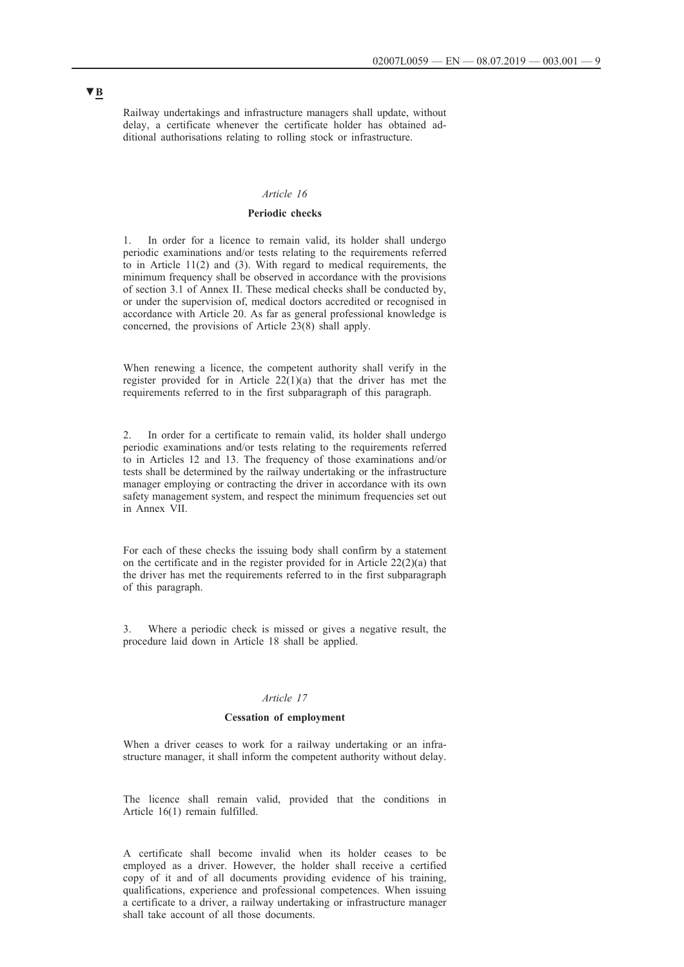Railway undertakings and infrastructure managers shall update, without delay, a certificate whenever the certificate holder has obtained additional authorisations relating to rolling stock or infrastructure.

## *Article 16*

## **Periodic checks**

1. In order for a licence to remain valid, its holder shall undergo periodic examinations and/or tests relating to the requirements referred to in Article 11(2) and (3). With regard to medical requirements, the minimum frequency shall be observed in accordance with the provisions of section 3.1 of Annex II. These medical checks shall be conducted by, or under the supervision of, medical doctors accredited or recognised in accordance with Article 20. As far as general professional knowledge is concerned, the provisions of Article 23(8) shall apply.

When renewing a licence, the competent authority shall verify in the register provided for in Article  $22(1)(a)$  that the driver has met the requirements referred to in the first subparagraph of this paragraph.

2. In order for a certificate to remain valid, its holder shall undergo periodic examinations and/or tests relating to the requirements referred to in Articles 12 and 13. The frequency of those examinations and/or tests shall be determined by the railway undertaking or the infrastructure manager employing or contracting the driver in accordance with its own safety management system, and respect the minimum frequencies set out in Annex VII.

For each of these checks the issuing body shall confirm by a statement on the certificate and in the register provided for in Article  $22(2)(a)$  that the driver has met the requirements referred to in the first subparagraph of this paragraph.

3. Where a periodic check is missed or gives a negative result, the procedure laid down in Article 18 shall be applied.

### *Article 17*

#### **Cessation of employment**

When a driver ceases to work for a railway undertaking or an infrastructure manager, it shall inform the competent authority without delay.

The licence shall remain valid, provided that the conditions in Article 16(1) remain fulfilled.

A certificate shall become invalid when its holder ceases to be employed as a driver. However, the holder shall receive a certified copy of it and of all documents providing evidence of his training, qualifications, experience and professional competences. When issuing a certificate to a driver, a railway undertaking or infrastructure manager shall take account of all those documents.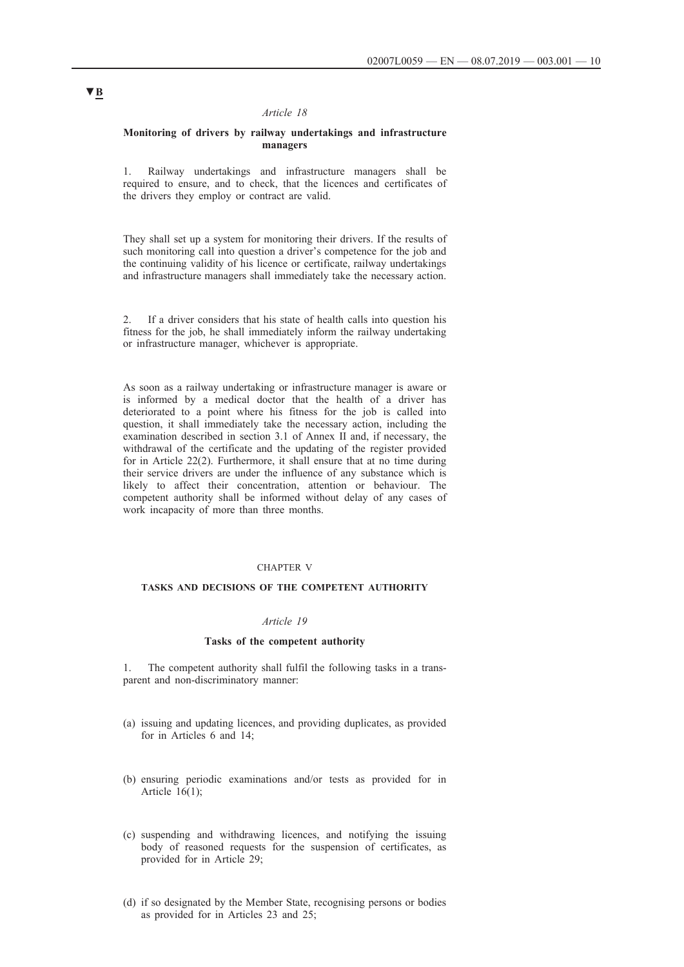## *Article 18*

### **Monitoring of drivers by railway undertakings and infrastructure managers**

1. Railway undertakings and infrastructure managers shall be required to ensure, and to check, that the licences and certificates of the drivers they employ or contract are valid.

They shall set up a system for monitoring their drivers. If the results of such monitoring call into question a driver's competence for the job and the continuing validity of his licence or certificate, railway undertakings and infrastructure managers shall immediately take the necessary action.

2. If a driver considers that his state of health calls into question his fitness for the job, he shall immediately inform the railway undertaking or infrastructure manager, whichever is appropriate.

As soon as a railway undertaking or infrastructure manager is aware or is informed by a medical doctor that the health of a driver has deteriorated to a point where his fitness for the job is called into question, it shall immediately take the necessary action, including the examination described in section 3.1 of Annex II and, if necessary, the withdrawal of the certificate and the updating of the register provided for in Article 22(2). Furthermore, it shall ensure that at no time during their service drivers are under the influence of any substance which is likely to affect their concentration, attention or behaviour. The competent authority shall be informed without delay of any cases of work incapacity of more than three months.

#### CHAPTER V

### **TASKS AND DECISIONS OF THE COMPETENT AUTHORITY**

## *Article 19*

### **Tasks of the competent authority**

1. The competent authority shall fulfil the following tasks in a transparent and non-discriminatory manner:

- (a) issuing and updating licences, and providing duplicates, as provided for in Articles 6 and 14;
- (b) ensuring periodic examinations and/or tests as provided for in Article 16(1);
- (c) suspending and withdrawing licences, and notifying the issuing body of reasoned requests for the suspension of certificates, as provided for in Article 29;
- (d) if so designated by the Member State, recognising persons or bodies as provided for in Articles 23 and 25;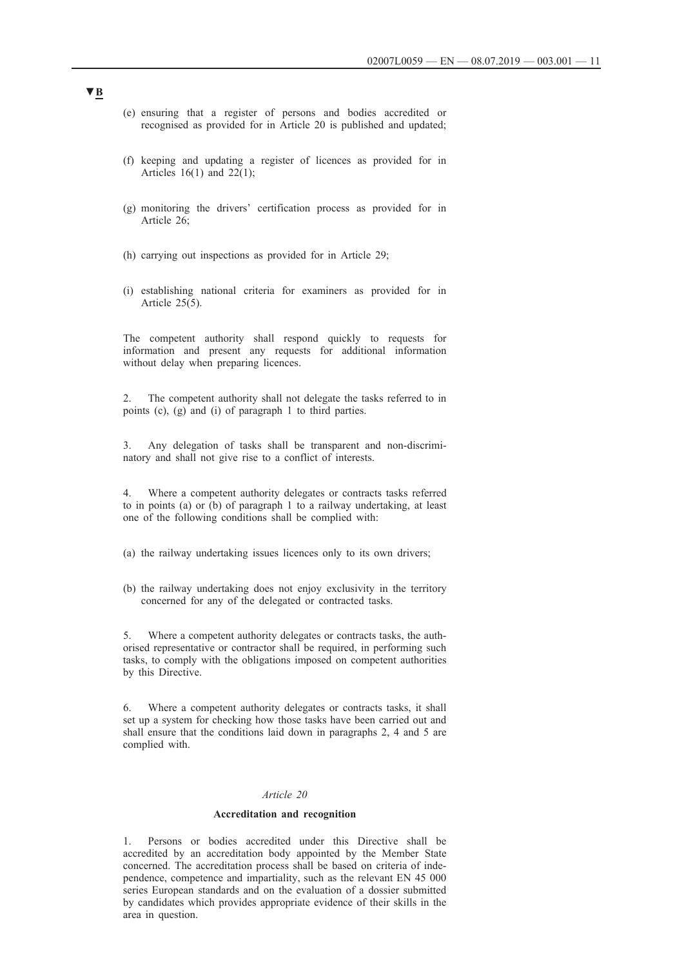- (e) ensuring that a register of persons and bodies accredited or recognised as provided for in Article 20 is published and updated;
- (f) keeping and updating a register of licences as provided for in Articles  $16(1)$  and  $22(1)$ ;
- (g) monitoring the drivers' certification process as provided for in Article 26;
- (h) carrying out inspections as provided for in Article 29;
- (i) establishing national criteria for examiners as provided for in Article 25(5).

The competent authority shall respond quickly to requests for information and present any requests for additional information without delay when preparing licences.

2. The competent authority shall not delegate the tasks referred to in points (c), (g) and (i) of paragraph 1 to third parties.

3. Any delegation of tasks shall be transparent and non-discriminatory and shall not give rise to a conflict of interests.

4. Where a competent authority delegates or contracts tasks referred to in points (a) or (b) of paragraph 1 to a railway undertaking, at least one of the following conditions shall be complied with:

- (a) the railway undertaking issues licences only to its own drivers;
- (b) the railway undertaking does not enjoy exclusivity in the territory concerned for any of the delegated or contracted tasks.

5. Where a competent authority delegates or contracts tasks, the authorised representative or contractor shall be required, in performing such tasks, to comply with the obligations imposed on competent authorities by this Directive.

6. Where a competent authority delegates or contracts tasks, it shall set up a system for checking how those tasks have been carried out and shall ensure that the conditions laid down in paragraphs 2, 4 and 5 are complied with.

### *Article 20*

## **Accreditation and recognition**

Persons or bodies accredited under this Directive shall be accredited by an accreditation body appointed by the Member State concerned. The accreditation process shall be based on criteria of independence, competence and impartiality, such as the relevant EN 45 000 series European standards and on the evaluation of a dossier submitted by candidates which provides appropriate evidence of their skills in the area in question.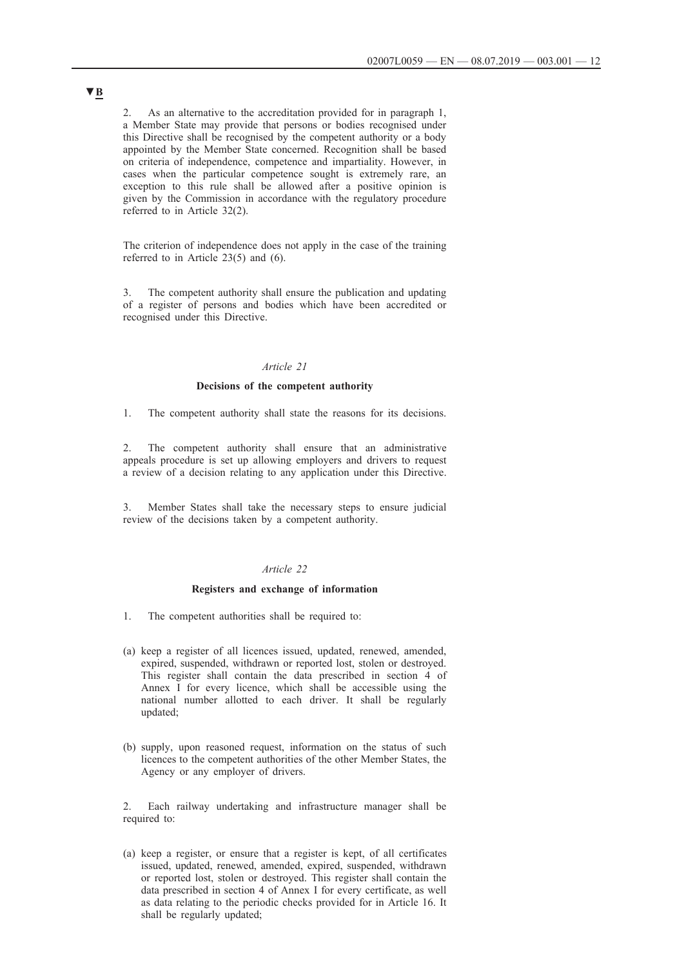2. As an alternative to the accreditation provided for in paragraph 1, a Member State may provide that persons or bodies recognised under this Directive shall be recognised by the competent authority or a body appointed by the Member State concerned. Recognition shall be based on criteria of independence, competence and impartiality. However, in cases when the particular competence sought is extremely rare, an exception to this rule shall be allowed after a positive opinion is given by the Commission in accordance with the regulatory procedure referred to in Article 32(2).

The criterion of independence does not apply in the case of the training referred to in Article 23(5) and (6).

3. The competent authority shall ensure the publication and updating of a register of persons and bodies which have been accredited or recognised under this Directive.

#### *Article 21*

## **Decisions of the competent authority**

1. The competent authority shall state the reasons for its decisions.

2. The competent authority shall ensure that an administrative appeals procedure is set up allowing employers and drivers to request a review of a decision relating to any application under this Directive.

3. Member States shall take the necessary steps to ensure judicial review of the decisions taken by a competent authority.

#### *Article 22*

#### **Registers and exchange of information**

- 1. The competent authorities shall be required to:
- (a) keep a register of all licences issued, updated, renewed, amended, expired, suspended, withdrawn or reported lost, stolen or destroyed. This register shall contain the data prescribed in section 4 of Annex I for every licence, which shall be accessible using the national number allotted to each driver. It shall be regularly updated;
- (b) supply, upon reasoned request, information on the status of such licences to the competent authorities of the other Member States, the Agency or any employer of drivers.

2. Each railway undertaking and infrastructure manager shall be required to:

(a) keep a register, or ensure that a register is kept, of all certificates issued, updated, renewed, amended, expired, suspended, withdrawn or reported lost, stolen or destroyed. This register shall contain the data prescribed in section 4 of Annex I for every certificate, as well as data relating to the periodic checks provided for in Article 16. It shall be regularly updated;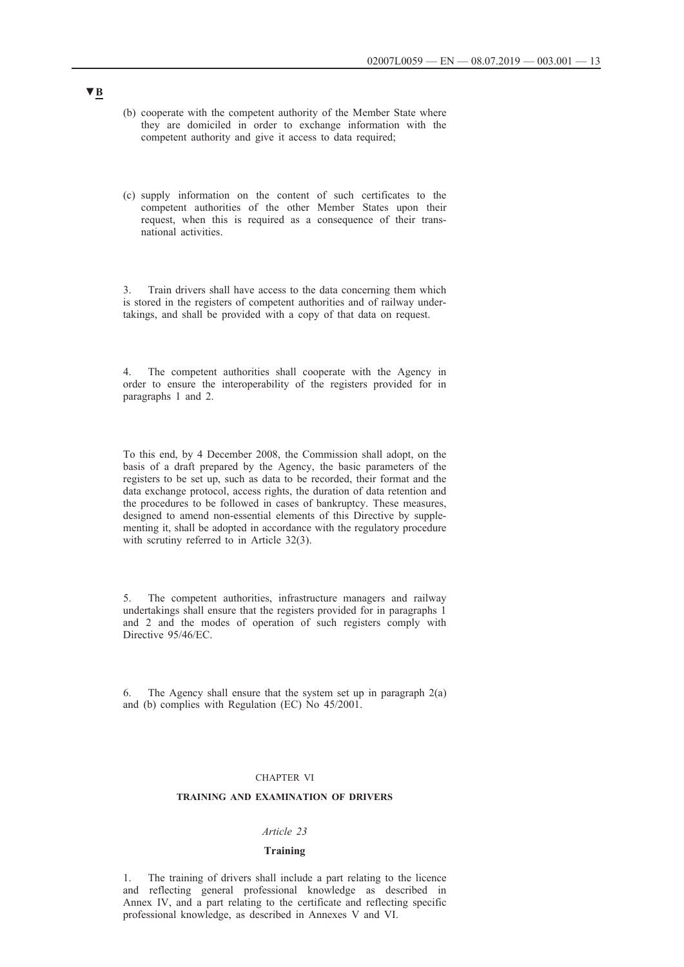- (b) cooperate with the competent authority of the Member State where they are domiciled in order to exchange information with the competent authority and give it access to data required;
- (c) supply information on the content of such certificates to the competent authorities of the other Member States upon their request, when this is required as a consequence of their transnational activities.

3. Train drivers shall have access to the data concerning them which is stored in the registers of competent authorities and of railway undertakings, and shall be provided with a copy of that data on request.

4. The competent authorities shall cooperate with the Agency in order to ensure the interoperability of the registers provided for in paragraphs 1 and 2.

To this end, by 4 December 2008, the Commission shall adopt, on the basis of a draft prepared by the Agency, the basic parameters of the registers to be set up, such as data to be recorded, their format and the data exchange protocol, access rights, the duration of data retention and the procedures to be followed in cases of bankruptcy. These measures, designed to amend non-essential elements of this Directive by supplementing it, shall be adopted in accordance with the regulatory procedure with scrutiny referred to in Article 32(3).

5. The competent authorities, infrastructure managers and railway undertakings shall ensure that the registers provided for in paragraphs 1 and 2 and the modes of operation of such registers comply with Directive 95/46/EC.

6. The Agency shall ensure that the system set up in paragraph  $2(a)$ and (b) complies with Regulation (EC) No 45/2001.

## CHAPTER VI

### **TRAINING AND EXAMINATION OF DRIVERS**

## *Article 23*

### **Training**

1. The training of drivers shall include a part relating to the licence and reflecting general professional knowledge as described in Annex IV, and a part relating to the certificate and reflecting specific professional knowledge, as described in Annexes V and VI.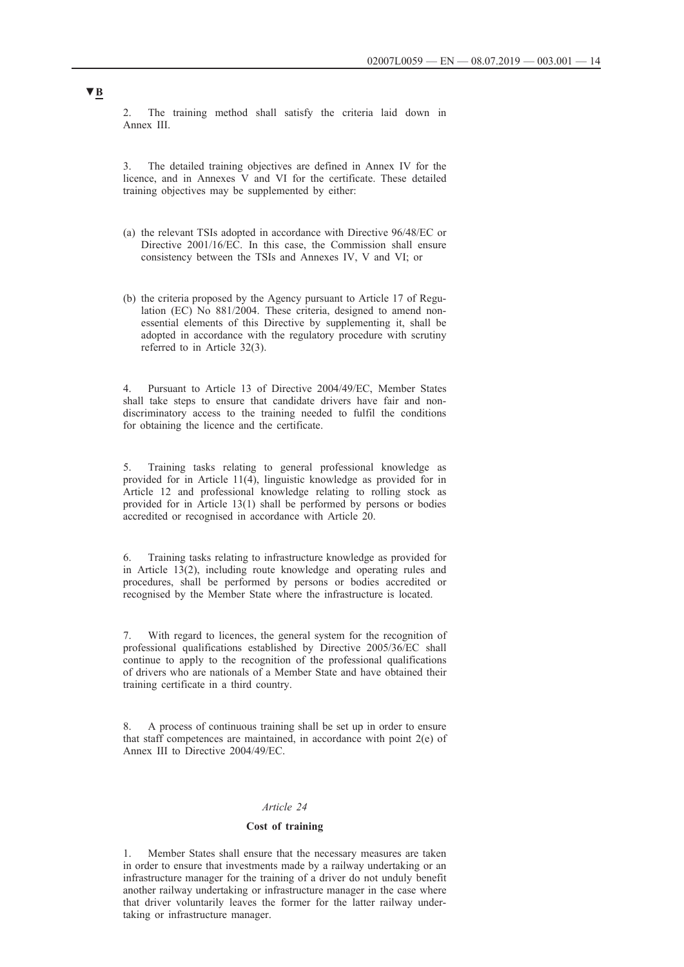2. The training method shall satisfy the criteria laid down in Annex III.

The detailed training objectives are defined in Annex IV for the licence, and in Annexes V and VI for the certificate. These detailed training objectives may be supplemented by either:

- (a) the relevant TSIs adopted in accordance with Directive 96/48/EC or Directive 2001/16/EC. In this case, the Commission shall ensure consistency between the TSIs and Annexes IV, V and VI; or
- (b) the criteria proposed by the Agency pursuant to Article 17 of Regulation (EC) No 881/2004. These criteria, designed to amend nonessential elements of this Directive by supplementing it, shall be adopted in accordance with the regulatory procedure with scrutiny referred to in Article 32(3).

4. Pursuant to Article 13 of Directive 2004/49/EC, Member States shall take steps to ensure that candidate drivers have fair and nondiscriminatory access to the training needed to fulfil the conditions for obtaining the licence and the certificate.

5. Training tasks relating to general professional knowledge as provided for in Article 11(4), linguistic knowledge as provided for in Article 12 and professional knowledge relating to rolling stock as provided for in Article 13(1) shall be performed by persons or bodies accredited or recognised in accordance with Article 20.

6. Training tasks relating to infrastructure knowledge as provided for in Article 13(2), including route knowledge and operating rules and procedures, shall be performed by persons or bodies accredited or recognised by the Member State where the infrastructure is located.

7. With regard to licences, the general system for the recognition of professional qualifications established by Directive 2005/36/EC shall continue to apply to the recognition of the professional qualifications of drivers who are nationals of a Member State and have obtained their training certificate in a third country.

8. A process of continuous training shall be set up in order to ensure that staff competences are maintained, in accordance with point  $2(e)$  of Annex III to Directive 2004/49/EC.

## *Article 24*

### **Cost of training**

1. Member States shall ensure that the necessary measures are taken in order to ensure that investments made by a railway undertaking or an infrastructure manager for the training of a driver do not unduly benefit another railway undertaking or infrastructure manager in the case where that driver voluntarily leaves the former for the latter railway undertaking or infrastructure manager.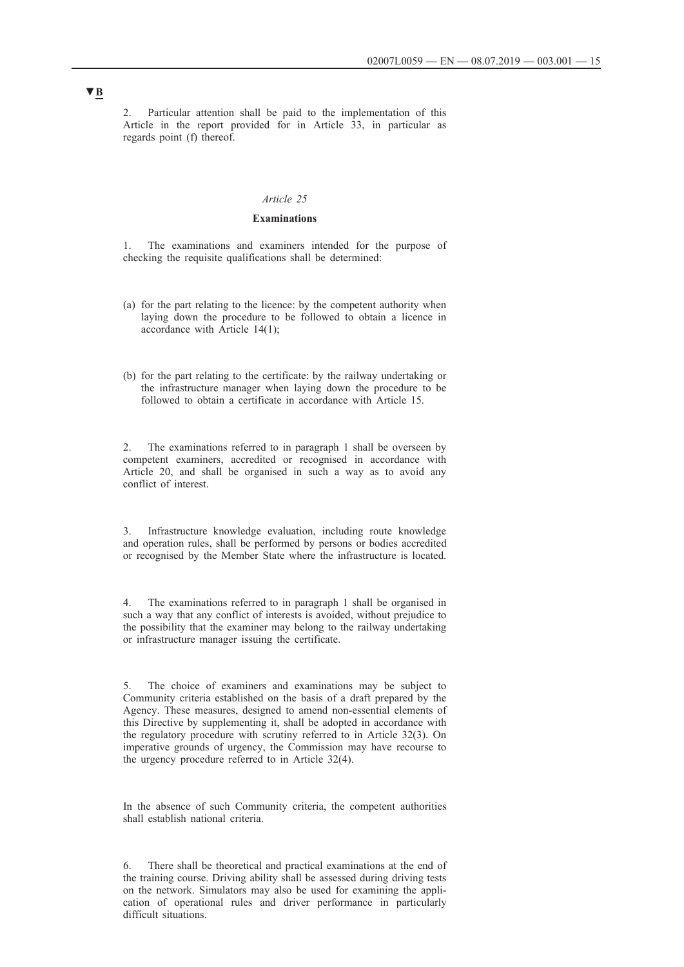2. Particular attention shall be paid to the implementation of this Article in the report provided for in Article 33, in particular as regards point (f) thereof.

### *Article 25*

## **Examinations**

1. The examinations and examiners intended for the purpose of checking the requisite qualifications shall be determined:

- (a) for the part relating to the licence: by the competent authority when laying down the procedure to be followed to obtain a licence in accordance with Article 14(1);
- (b) for the part relating to the certificate: by the railway undertaking or the infrastructure manager when laying down the procedure to be followed to obtain a certificate in accordance with Article 15.

2. The examinations referred to in paragraph 1 shall be overseen by competent examiners, accredited or recognised in accordance with Article 20, and shall be organised in such a way as to avoid any conflict of interest.

3. Infrastructure knowledge evaluation, including route knowledge and operation rules, shall be performed by persons or bodies accredited or recognised by the Member State where the infrastructure is located.

4. The examinations referred to in paragraph 1 shall be organised in such a way that any conflict of interests is avoided, without prejudice to the possibility that the examiner may belong to the railway undertaking or infrastructure manager issuing the certificate.

5. The choice of examiners and examinations may be subject to Community criteria established on the basis of a draft prepared by the Agency. These measures, designed to amend non-essential elements of this Directive by supplementing it, shall be adopted in accordance with the regulatory procedure with scrutiny referred to in Article 32(3). On imperative grounds of urgency, the Commission may have recourse to the urgency procedure referred to in Article 32(4).

In the absence of such Community criteria, the competent authorities shall establish national criteria.

6. There shall be theoretical and practical examinations at the end of the training course. Driving ability shall be assessed during driving tests on the network. Simulators may also be used for examining the application of operational rules and driver performance in particularly difficult situations.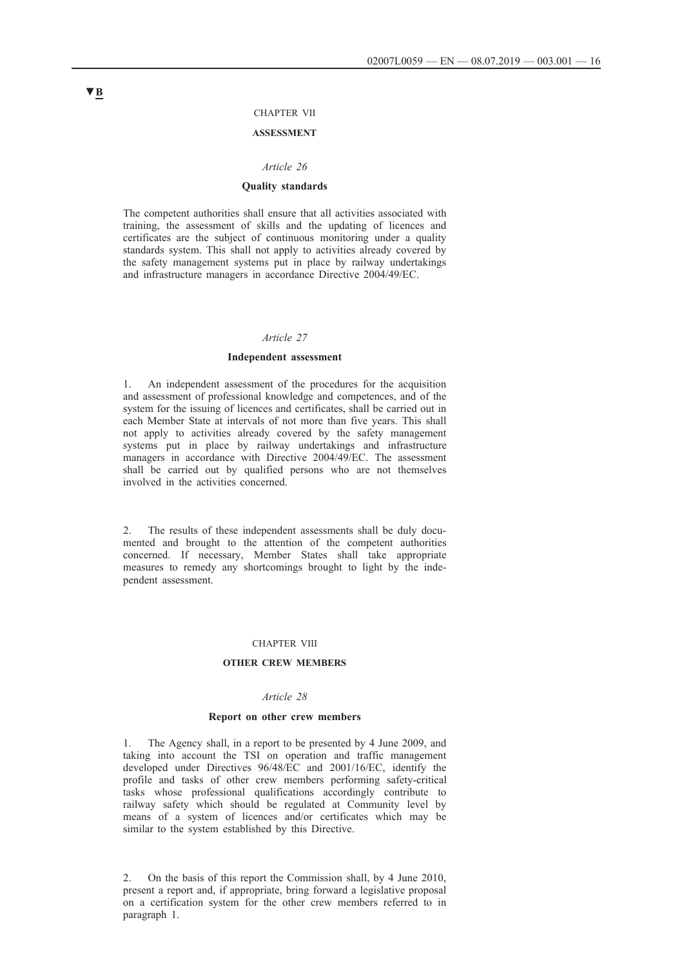#### CHAPTER VII

### **ASSESSMENT**

#### *Article 26*

### **Quality standards**

The competent authorities shall ensure that all activities associated with training, the assessment of skills and the updating of licences and certificates are the subject of continuous monitoring under a quality standards system. This shall not apply to activities already covered by the safety management systems put in place by railway undertakings and infrastructure managers in accordance Directive 2004/49/EC.

#### *Article 27*

### **Independent assessment**

1. An independent assessment of the procedures for the acquisition and assessment of professional knowledge and competences, and of the system for the issuing of licences and certificates, shall be carried out in each Member State at intervals of not more than five years. This shall not apply to activities already covered by the safety management systems put in place by railway undertakings and infrastructure managers in accordance with Directive 2004/49/EC. The assessment shall be carried out by qualified persons who are not themselves involved in the activities concerned.

2. The results of these independent assessments shall be duly documented and brought to the attention of the competent authorities concerned. If necessary, Member States shall take appropriate measures to remedy any shortcomings brought to light by the independent assessment.

#### CHAPTER VIII

### **OTHER CREW MEMBERS**

## *Article 28*

#### **Report on other crew members**

1. The Agency shall, in a report to be presented by 4 June 2009, and taking into account the TSI on operation and traffic management developed under Directives 96/48/EC and 2001/16/EC, identify the profile and tasks of other crew members performing safety-critical tasks whose professional qualifications accordingly contribute to railway safety which should be regulated at Community level by means of a system of licences and/or certificates which may be similar to the system established by this Directive.

2. On the basis of this report the Commission shall, by 4 June 2010, present a report and, if appropriate, bring forward a legislative proposal on a certification system for the other crew members referred to in paragraph 1.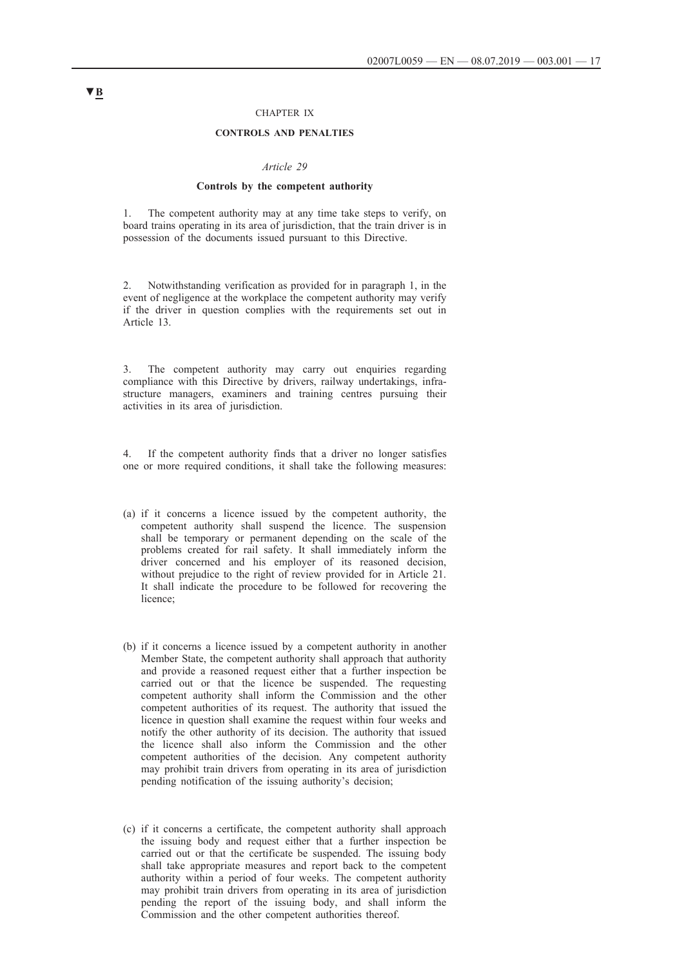### CHAPTER IX

#### **CONTROLS AND PENALTIES**

#### *Article 29*

#### **Controls by the competent authority**

1. The competent authority may at any time take steps to verify, on board trains operating in its area of jurisdiction, that the train driver is in possession of the documents issued pursuant to this Directive.

2. Notwithstanding verification as provided for in paragraph 1, in the event of negligence at the workplace the competent authority may verify if the driver in question complies with the requirements set out in Article 13.

3. The competent authority may carry out enquiries regarding compliance with this Directive by drivers, railway undertakings, infrastructure managers, examiners and training centres pursuing their activities in its area of jurisdiction.

4. If the competent authority finds that a driver no longer satisfies one or more required conditions, it shall take the following measures:

- (a) if it concerns a licence issued by the competent authority, the competent authority shall suspend the licence. The suspension shall be temporary or permanent depending on the scale of the problems created for rail safety. It shall immediately inform the driver concerned and his employer of its reasoned decision, without prejudice to the right of review provided for in Article 21. It shall indicate the procedure to be followed for recovering the licence;
- (b) if it concerns a licence issued by a competent authority in another Member State, the competent authority shall approach that authority and provide a reasoned request either that a further inspection be carried out or that the licence be suspended. The requesting competent authority shall inform the Commission and the other competent authorities of its request. The authority that issued the licence in question shall examine the request within four weeks and notify the other authority of its decision. The authority that issued the licence shall also inform the Commission and the other competent authorities of the decision. Any competent authority may prohibit train drivers from operating in its area of jurisdiction pending notification of the issuing authority's decision;
- (c) if it concerns a certificate, the competent authority shall approach the issuing body and request either that a further inspection be carried out or that the certificate be suspended. The issuing body shall take appropriate measures and report back to the competent authority within a period of four weeks. The competent authority may prohibit train drivers from operating in its area of jurisdiction pending the report of the issuing body, and shall inform the Commission and the other competent authorities thereof.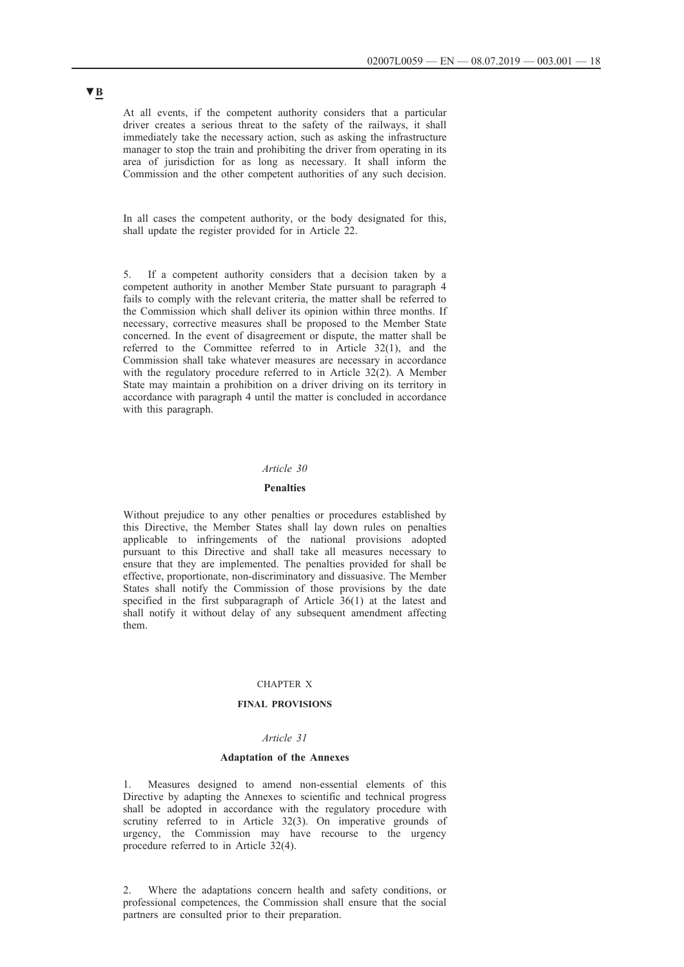At all events, if the competent authority considers that a particular driver creates a serious threat to the safety of the railways, it shall immediately take the necessary action, such as asking the infrastructure manager to stop the train and prohibiting the driver from operating in its area of jurisdiction for as long as necessary. It shall inform the Commission and the other competent authorities of any such decision.

In all cases the competent authority, or the body designated for this, shall update the register provided for in Article 22.

5. If a competent authority considers that a decision taken by a competent authority in another Member State pursuant to paragraph 4 fails to comply with the relevant criteria, the matter shall be referred to the Commission which shall deliver its opinion within three months. If necessary, corrective measures shall be proposed to the Member State concerned. In the event of disagreement or dispute, the matter shall be referred to the Committee referred to in Article 32(1), and the Commission shall take whatever measures are necessary in accordance with the regulatory procedure referred to in Article 32(2). A Member State may maintain a prohibition on a driver driving on its territory in accordance with paragraph 4 until the matter is concluded in accordance with this paragraph.

### *Article 30*

### **Penalties**

Without prejudice to any other penalties or procedures established by this Directive, the Member States shall lay down rules on penalties applicable to infringements of the national provisions adopted pursuant to this Directive and shall take all measures necessary to ensure that they are implemented. The penalties provided for shall be effective, proportionate, non-discriminatory and dissuasive. The Member States shall notify the Commission of those provisions by the date specified in the first subparagraph of Article  $36(1)$  at the latest and shall notify it without delay of any subsequent amendment affecting them.

### CHAPTER X

### **FINAL PROVISIONS**

### *Article 31*

#### **Adaptation of the Annexes**

Measures designed to amend non-essential elements of this Directive by adapting the Annexes to scientific and technical progress shall be adopted in accordance with the regulatory procedure with scrutiny referred to in Article 32(3). On imperative grounds of urgency, the Commission may have recourse to the urgency procedure referred to in Article 32(4).

2. Where the adaptations concern health and safety conditions, or professional competences, the Commission shall ensure that the social partners are consulted prior to their preparation.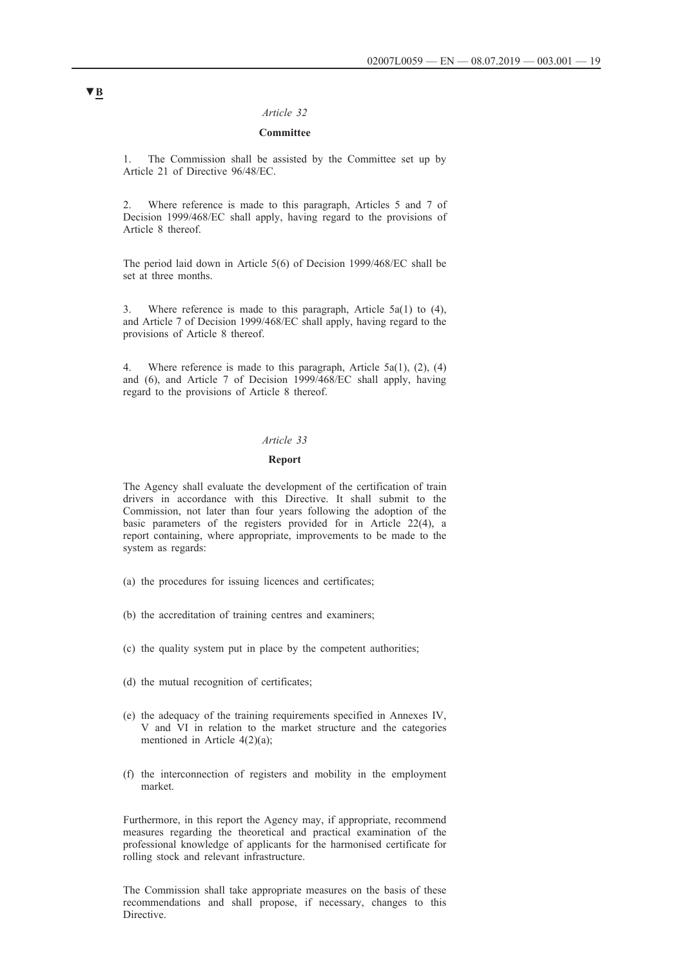### *Article 32*

## **Committee**

1. The Commission shall be assisted by the Committee set up by Article 21 of Directive 96/48/EC.

2. Where reference is made to this paragraph, Articles 5 and 7 of Decision 1999/468/EC shall apply, having regard to the provisions of Article 8 thereof.

The period laid down in Article 5(6) of Decision 1999/468/EC shall be set at three months.

3. Where reference is made to this paragraph, Article 5a(1) to (4), and Article 7 of Decision 1999/468/EC shall apply, having regard to the provisions of Article 8 thereof.

4. Where reference is made to this paragraph, Article 5a(1), (2), (4) and (6), and Article 7 of Decision 1999/468/EC shall apply, having regard to the provisions of Article 8 thereof.

### *Article 33*

## **Report**

The Agency shall evaluate the development of the certification of train drivers in accordance with this Directive. It shall submit to the Commission, not later than four years following the adoption of the basic parameters of the registers provided for in Article 22(4), a report containing, where appropriate, improvements to be made to the system as regards:

- (a) the procedures for issuing licences and certificates;
- (b) the accreditation of training centres and examiners;
- (c) the quality system put in place by the competent authorities;
- (d) the mutual recognition of certificates;
- (e) the adequacy of the training requirements specified in Annexes IV, V and VI in relation to the market structure and the categories mentioned in Article 4(2)(a);
- (f) the interconnection of registers and mobility in the employment market.

Furthermore, in this report the Agency may, if appropriate, recommend measures regarding the theoretical and practical examination of the professional knowledge of applicants for the harmonised certificate for rolling stock and relevant infrastructure.

The Commission shall take appropriate measures on the basis of these recommendations and shall propose, if necessary, changes to this **Directive**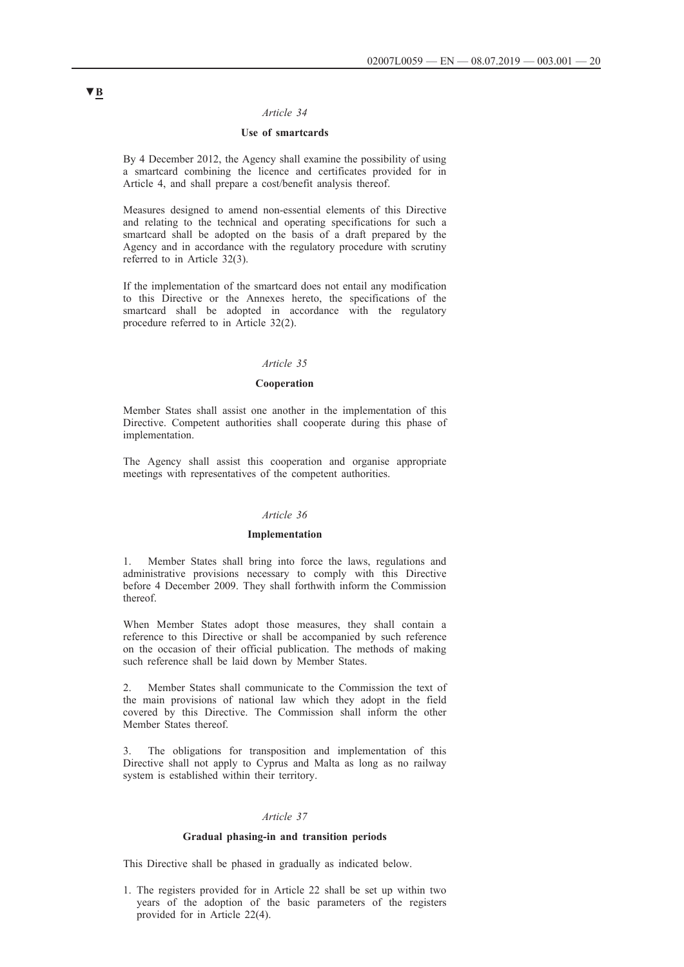## *Article 34*

## **Use of smartcards**

By 4 December 2012, the Agency shall examine the possibility of using a smartcard combining the licence and certificates provided for in Article 4, and shall prepare a cost/benefit analysis thereof.

Measures designed to amend non-essential elements of this Directive and relating to the technical and operating specifications for such a smartcard shall be adopted on the basis of a draft prepared by the Agency and in accordance with the regulatory procedure with scrutiny referred to in Article 32(3).

If the implementation of the smartcard does not entail any modification to this Directive or the Annexes hereto, the specifications of the smartcard shall be adopted in accordance with the regulatory procedure referred to in Article 32(2).

#### *Article 35*

## **Cooperation**

Member States shall assist one another in the implementation of this Directive. Competent authorities shall cooperate during this phase of implementation.

The Agency shall assist this cooperation and organise appropriate meetings with representatives of the competent authorities.

#### *Article 36*

#### **Implementation**

1. Member States shall bring into force the laws, regulations and administrative provisions necessary to comply with this Directive before 4 December 2009. They shall forthwith inform the Commission thereof.

When Member States adopt those measures, they shall contain a reference to this Directive or shall be accompanied by such reference on the occasion of their official publication. The methods of making such reference shall be laid down by Member States.

2. Member States shall communicate to the Commission the text of the main provisions of national law which they adopt in the field covered by this Directive. The Commission shall inform the other Member States thereof.

The obligations for transposition and implementation of this Directive shall not apply to Cyprus and Malta as long as no railway system is established within their territory.

#### *Article 37*

#### **Gradual phasing-in and transition periods**

This Directive shall be phased in gradually as indicated below.

1. The registers provided for in Article 22 shall be set up within two years of the adoption of the basic parameters of the registers provided for in Article 22(4).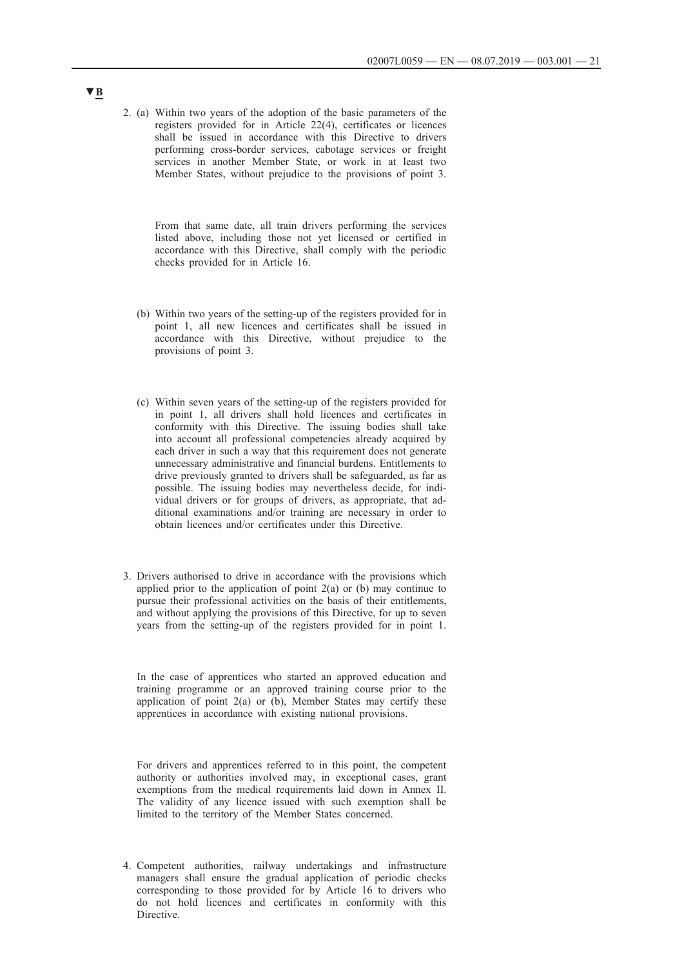2. (a) Within two years of the adoption of the basic parameters of the registers provided for in Article 22(4), certificates or licences shall be issued in accordance with this Directive to drivers performing cross-border services, cabotage services or freight services in another Member State, or work in at least two Member States, without prejudice to the provisions of point 3.

From that same date, all train drivers performing the services listed above, including those not yet licensed or certified in accordance with this Directive, shall comply with the periodic checks provided for in Article 16.

- (b) Within two years of the setting-up of the registers provided for in point 1, all new licences and certificates shall be issued in accordance with this Directive, without prejudice to the provisions of point 3.
- (c) Within seven years of the setting-up of the registers provided for in point 1, all drivers shall hold licences and certificates in conformity with this Directive. The issuing bodies shall take into account all professional competencies already acquired by each driver in such a way that this requirement does not generate unnecessary administrative and financial burdens. Entitlements to drive previously granted to drivers shall be safeguarded, as far as possible. The issuing bodies may nevertheless decide, for individual drivers or for groups of drivers, as appropriate, that additional examinations and/or training are necessary in order to obtain licences and/or certificates under this Directive.
- 3. Drivers authorised to drive in accordance with the provisions which applied prior to the application of point  $2(a)$  or (b) may continue to pursue their professional activities on the basis of their entitlements, and without applying the provisions of this Directive, for up to seven years from the setting-up of the registers provided for in point 1.

In the case of apprentices who started an approved education and training programme or an approved training course prior to the application of point  $2(a)$  or  $(b)$ , Member States may certify these apprentices in accordance with existing national provisions.

For drivers and apprentices referred to in this point, the competent authority or authorities involved may, in exceptional cases, grant exemptions from the medical requirements laid down in Annex II. The validity of any licence issued with such exemption shall be limited to the territory of the Member States concerned.

4. Competent authorities, railway undertakings and infrastructure managers shall ensure the gradual application of periodic checks corresponding to those provided for by Article 16 to drivers who do not hold licences and certificates in conformity with this Directive.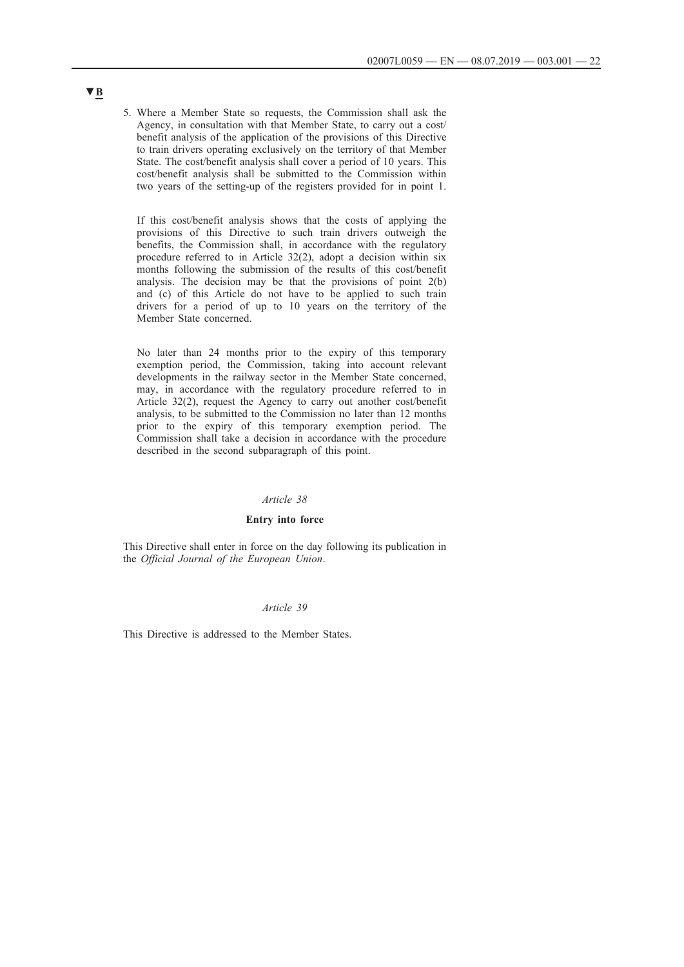5. Where a Member State so requests, the Commission shall ask the Agency, in consultation with that Member State, to carry out a cost/ benefit analysis of the application of the provisions of this Directive to train drivers operating exclusively on the territory of that Member State. The cost/benefit analysis shall cover a period of 10 years. This cost/benefit analysis shall be submitted to the Commission within two years of the setting-up of the registers provided for in point 1.

If this cost/benefit analysis shows that the costs of applying the provisions of this Directive to such train drivers outweigh the benefits, the Commission shall, in accordance with the regulatory procedure referred to in Article 32(2), adopt a decision within six months following the submission of the results of this cost/benefit analysis. The decision may be that the provisions of point 2(b) and (c) of this Article do not have to be applied to such train drivers for a period of up to 10 years on the territory of the Member State concerned.

No later than 24 months prior to the expiry of this temporary exemption period, the Commission, taking into account relevant developments in the railway sector in the Member State concerned, may, in accordance with the regulatory procedure referred to in Article 32(2), request the Agency to carry out another cost/benefit analysis, to be submitted to the Commission no later than 12 months prior to the expiry of this temporary exemption period. The Commission shall take a decision in accordance with the procedure described in the second subparagraph of this point.

#### *Article 38*

## **Entry into force**

This Directive shall enter in force on the day following its publication in the *Official Journal of the European Union*.

### *Article 39*

This Directive is addressed to the Member States.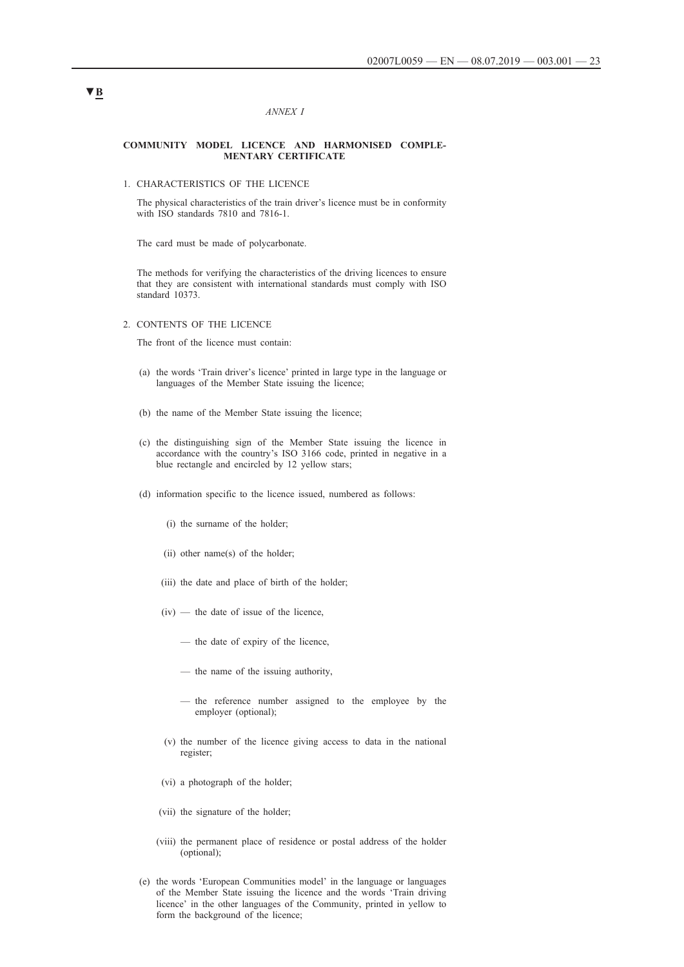#### *ANNEX I*

#### **COMMUNITY MODEL LICENCE AND HARMONISED COMPLE-MENTARY CERTIFICATE**

### 1. CHARACTERISTICS OF THE LICENCE

The physical characteristics of the train driver's licence must be in conformity with ISO standards 7810 and 7816-1.

The card must be made of polycarbonate.

The methods for verifying the characteristics of the driving licences to ensure that they are consistent with international standards must comply with ISO standard 10373.

2. CONTENTS OF THE LICENCE

The front of the licence must contain:

- (a) the words 'Train driver's licence' printed in large type in the language or languages of the Member State issuing the licence;
- (b) the name of the Member State issuing the licence;
- (c) the distinguishing sign of the Member State issuing the licence in accordance with the country's ISO 3166 code, printed in negative in a blue rectangle and encircled by 12 yellow stars;
- (d) information specific to the licence issued, numbered as follows:
	- (i) the surname of the holder;
	- (ii) other name(s) of the holder;
	- (iii) the date and place of birth of the holder;
	- $(iv)$  the date of issue of the licence,
		- the date of expiry of the licence,
		- the name of the issuing authority,
		- the reference number assigned to the employee by the employer (optional);
	- (v) the number of the licence giving access to data in the national register;
	- (vi) a photograph of the holder;
	- (vii) the signature of the holder;
	- (viii) the permanent place of residence or postal address of the holder (optional);
- (e) the words 'European Communities model' in the language or languages of the Member State issuing the licence and the words 'Train driving licence' in the other languages of the Community, printed in yellow to form the background of the licence;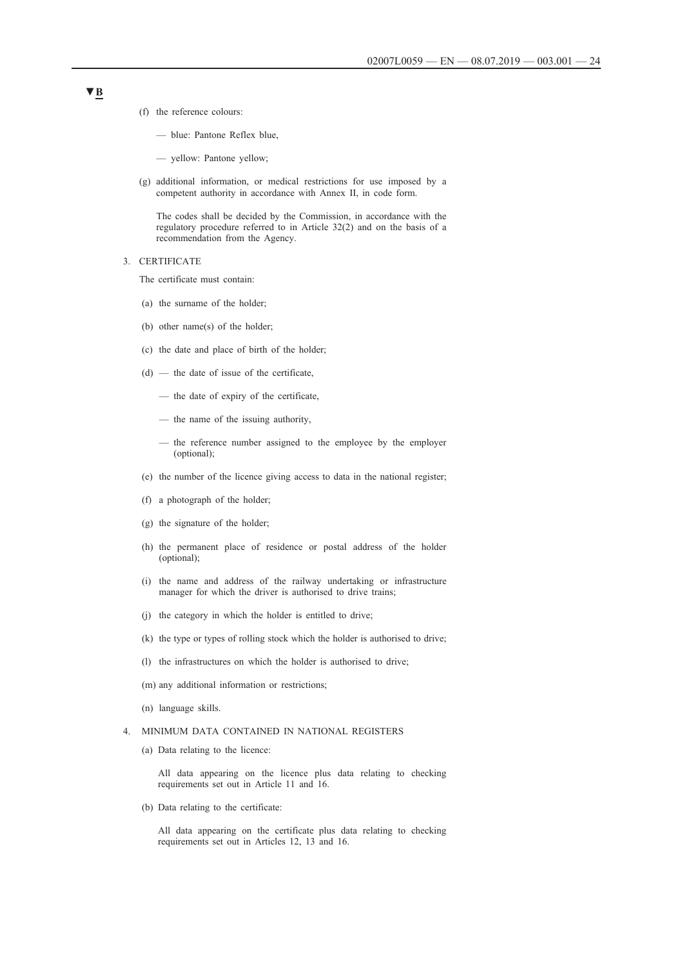- (f) the reference colours:
	- blue: Pantone Reflex blue,
	- yellow: Pantone yellow;
- (g) additional information, or medical restrictions for use imposed by a competent authority in accordance with Annex II, in code form.

The codes shall be decided by the Commission, in accordance with the regulatory procedure referred to in Article 32(2) and on the basis of a recommendation from the Agency.

3. CERTIFICATE

The certificate must contain:

- (a) the surname of the holder;
- (b) other name(s) of the holder;
- (c) the date and place of birth of the holder;
- (d) the date of issue of the certificate,
	- the date of expiry of the certificate,
	- the name of the issuing authority,
	- the reference number assigned to the employee by the employer (optional);
- (e) the number of the licence giving access to data in the national register;
- (f) a photograph of the holder;
- (g) the signature of the holder;
- (h) the permanent place of residence or postal address of the holder (optional);
- (i) the name and address of the railway undertaking or infrastructure manager for which the driver is authorised to drive trains;
- (j) the category in which the holder is entitled to drive;
- (k) the type or types of rolling stock which the holder is authorised to drive;
- (l) the infrastructures on which the holder is authorised to drive;
- (m) any additional information or restrictions;
- (n) language skills.

#### 4. MINIMUM DATA CONTAINED IN NATIONAL REGISTERS

(a) Data relating to the licence:

All data appearing on the licence plus data relating to checking requirements set out in Article 11 and 16.

(b) Data relating to the certificate:

All data appearing on the certificate plus data relating to checking requirements set out in Articles 12, 13 and 16.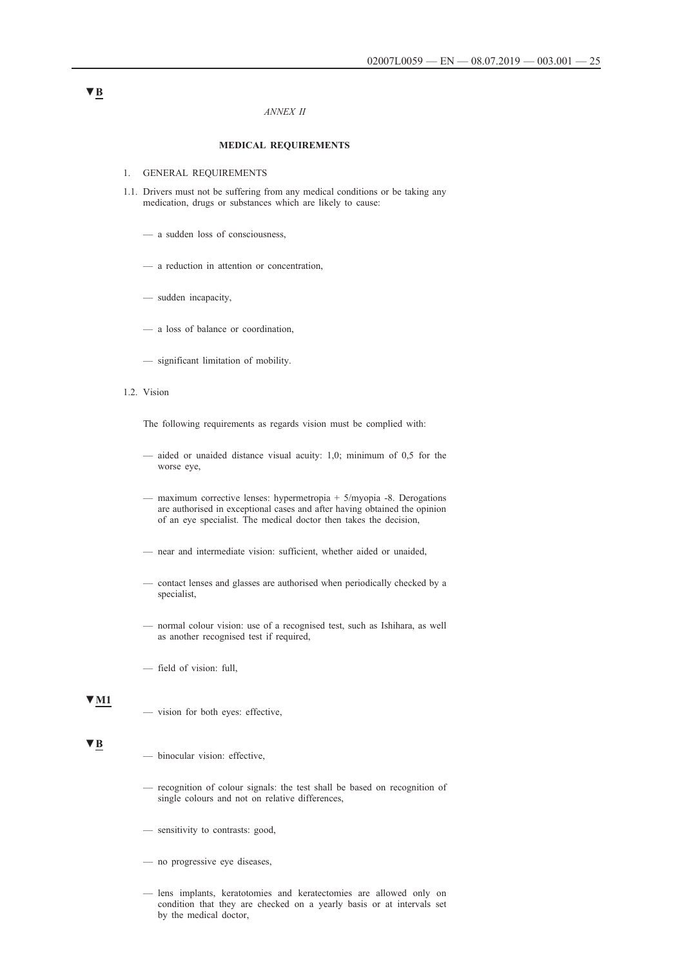#### *ANNEX II*

## **MEDICAL REQUIREMENTS**

- 1. GENERAL REQUIREMENTS
- 1.1. Drivers must not be suffering from any medical conditions or be taking any medication, drugs or substances which are likely to cause:
	- a sudden loss of consciousness,
	- a reduction in attention or concentration,
	- sudden incapacity,
	- a loss of balance or coordination,
	- significant limitation of mobility.
- 1.2. Vision

The following requirements as regards vision must be complied with:

- aided or unaided distance visual acuity: 1,0; minimum of 0,5 for the worse eye,
- maximum corrective lenses: hypermetropia + 5/myopia -8. Derogations are authorised in exceptional cases and after having obtained the opinion of an eye specialist. The medical doctor then takes the decision,
- near and intermediate vision: sufficient, whether aided or unaided,
- contact lenses and glasses are authorised when periodically checked by a specialist,
- normal colour vision: use of a recognised test, such as Ishihara, as well as another recognised test if required,
- field of vision: full,

#### **▼M1**

— vision for both eyes: effective,

#### **▼B**

- binocular vision: effective,
- recognition of colour signals: the test shall be based on recognition of single colours and not on relative differences,
- sensitivity to contrasts: good,
- no progressive eye diseases,
- lens implants, keratotomies and keratectomies are allowed only on condition that they are checked on a yearly basis or at intervals set by the medical doctor,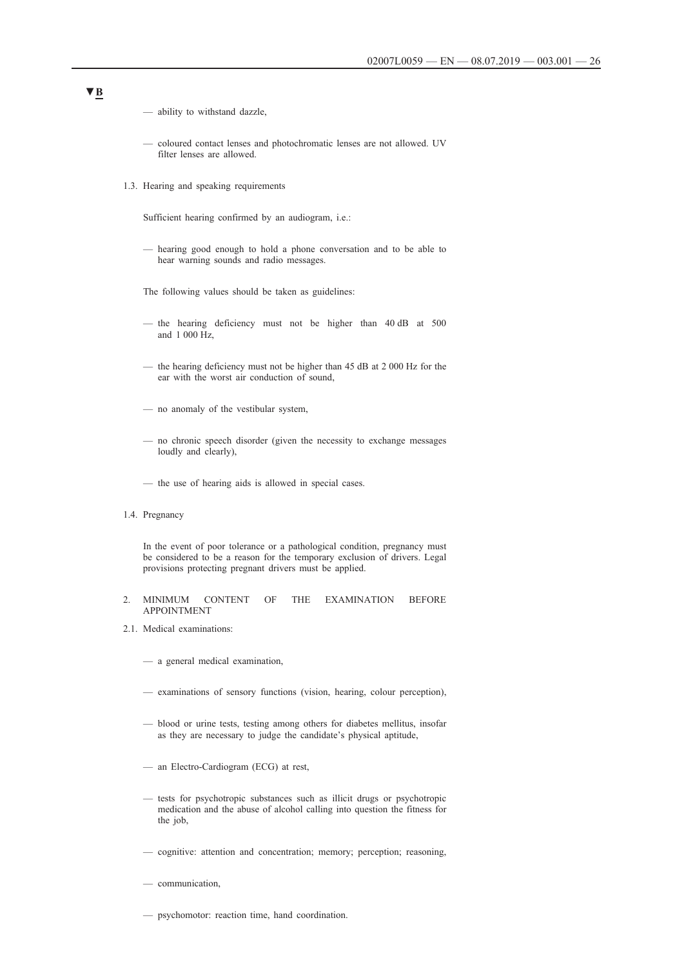- ability to withstand dazzle,
- coloured contact lenses and photochromatic lenses are not allowed. UV filter lenses are allowed.
- 1.3. Hearing and speaking requirements

Sufficient hearing confirmed by an audiogram, i.e.:

— hearing good enough to hold a phone conversation and to be able to hear warning sounds and radio messages.

The following values should be taken as guidelines:

- the hearing deficiency must not be higher than 40 dB at 500 and 1 000 Hz,
- the hearing deficiency must not be higher than 45 dB at 2 000 Hz for the ear with the worst air conduction of sound,
- no anomaly of the vestibular system,
- no chronic speech disorder (given the necessity to exchange messages loudly and clearly),
- the use of hearing aids is allowed in special cases.

#### 1.4. Pregnancy

In the event of poor tolerance or a pathological condition, pregnancy must be considered to be a reason for the temporary exclusion of drivers. Legal provisions protecting pregnant drivers must be applied.

- 2. MINIMUM CONTENT OF THE EXAMINATION BEFORE APPOINTMENT
- 2.1. Medical examinations:
	- a general medical examination,
	- examinations of sensory functions (vision, hearing, colour perception),
	- blood or urine tests, testing among others for diabetes mellitus, insofar as they are necessary to judge the candidate's physical aptitude,
	- an Electro-Cardiogram (ECG) at rest,
	- tests for psychotropic substances such as illicit drugs or psychotropic medication and the abuse of alcohol calling into question the fitness for the job,
	- cognitive: attention and concentration; memory; perception; reasoning,
	- communication,
	- psychomotor: reaction time, hand coordination.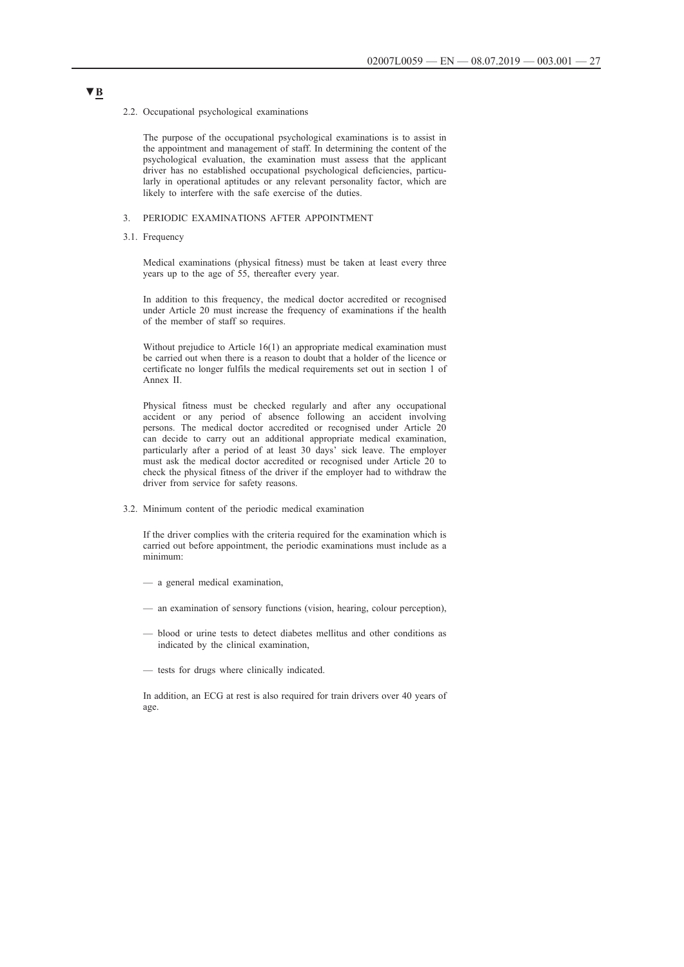#### 2.2. Occupational psychological examinations

The purpose of the occupational psychological examinations is to assist in the appointment and management of staff. In determining the content of the psychological evaluation, the examination must assess that the applicant driver has no established occupational psychological deficiencies, particularly in operational aptitudes or any relevant personality factor, which are likely to interfere with the safe exercise of the duties.

### 3. PERIODIC EXAMINATIONS AFTER APPOINTMENT

3.1. Frequency

Medical examinations (physical fitness) must be taken at least every three years up to the age of 55, thereafter every year.

In addition to this frequency, the medical doctor accredited or recognised under Article 20 must increase the frequency of examinations if the health of the member of staff so requires.

Without prejudice to Article 16(1) an appropriate medical examination must be carried out when there is a reason to doubt that a holder of the licence or certificate no longer fulfils the medical requirements set out in section 1 of Annex II.

Physical fitness must be checked regularly and after any occupational accident or any period of absence following an accident involving persons. The medical doctor accredited or recognised under Article 20 can decide to carry out an additional appropriate medical examination, particularly after a period of at least 30 days' sick leave. The employer must ask the medical doctor accredited or recognised under Article 20 to check the physical fitness of the driver if the employer had to withdraw the driver from service for safety reasons.

3.2. Minimum content of the periodic medical examination

If the driver complies with the criteria required for the examination which is carried out before appointment, the periodic examinations must include as a minimum:

- a general medical examination,
- an examination of sensory functions (vision, hearing, colour perception),
- blood or urine tests to detect diabetes mellitus and other conditions as indicated by the clinical examination,
- tests for drugs where clinically indicated.

In addition, an ECG at rest is also required for train drivers over 40 years of age.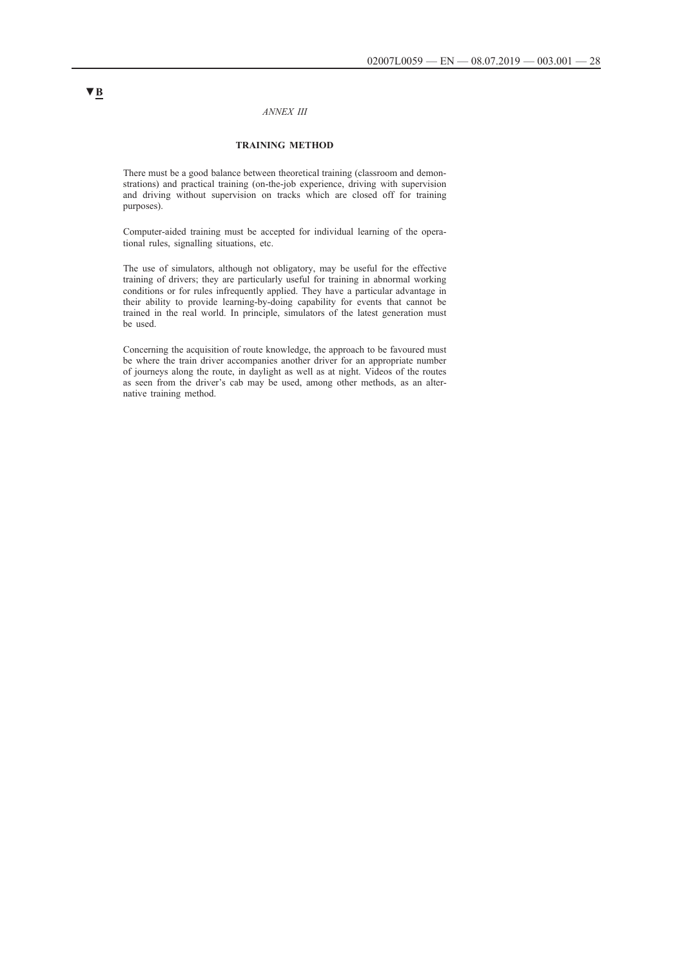### *ANNEX III*

### **TRAINING METHOD**

There must be a good balance between theoretical training (classroom and demonstrations) and practical training (on-the-job experience, driving with supervision and driving without supervision on tracks which are closed off for training purposes).

Computer-aided training must be accepted for individual learning of the operational rules, signalling situations, etc.

The use of simulators, although not obligatory, may be useful for the effective training of drivers; they are particularly useful for training in abnormal working conditions or for rules infrequently applied. They have a particular advantage in their ability to provide learning-by-doing capability for events that cannot be trained in the real world. In principle, simulators of the latest generation must be used.

Concerning the acquisition of route knowledge, the approach to be favoured must be where the train driver accompanies another driver for an appropriate number of journeys along the route, in daylight as well as at night. Videos of the routes as seen from the driver's cab may be used, among other methods, as an alternative training method.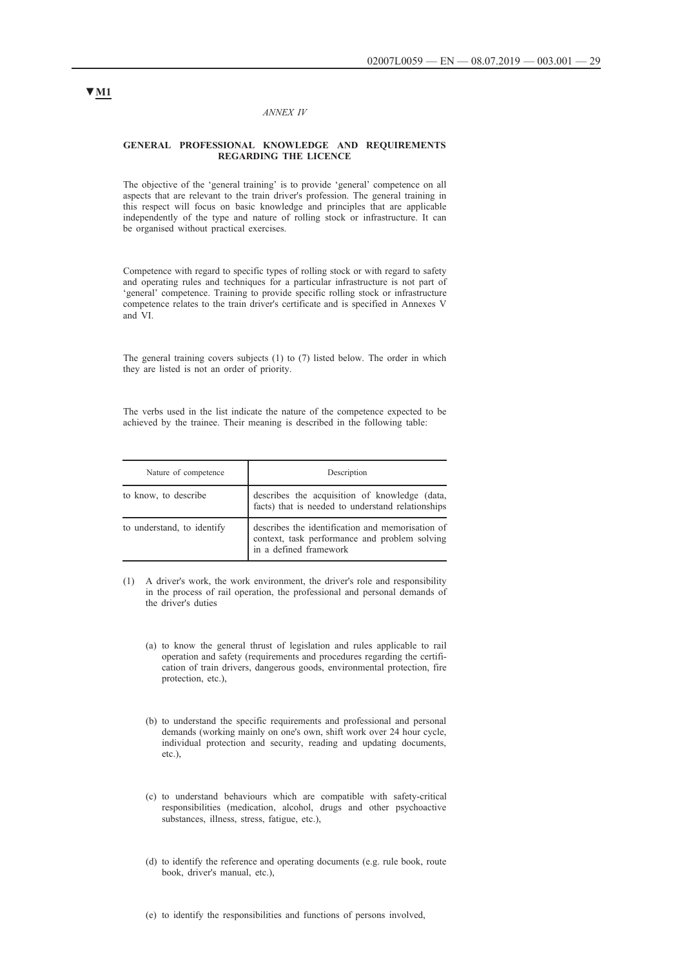#### *ANNEX IV*

#### **GENERAL PROFESSIONAL KNOWLEDGE AND REQUIREMENTS REGARDING THE LICENCE**

The objective of the 'general training' is to provide 'general' competence on all aspects that are relevant to the train driver's profession. The general training in this respect will focus on basic knowledge and principles that are applicable independently of the type and nature of rolling stock or infrastructure. It can be organised without practical exercises.

Competence with regard to specific types of rolling stock or with regard to safety and operating rules and techniques for a particular infrastructure is not part of 'general' competence. Training to provide specific rolling stock or infrastructure competence relates to the train driver's certificate and is specified in Annexes V and VI.

The general training covers subjects (1) to (7) listed below. The order in which they are listed is not an order of priority.

The verbs used in the list indicate the nature of the competence expected to be achieved by the trainee. Their meaning is described in the following table:

| Nature of competence       | Description                                                                                                                 |
|----------------------------|-----------------------------------------------------------------------------------------------------------------------------|
| to know, to describe       | describes the acquisition of knowledge (data,<br>facts) that is needed to understand relationships                          |
| to understand, to identify | describes the identification and memorisation of<br>context, task performance and problem solving<br>in a defined framework |

- (1) A driver's work, the work environment, the driver's role and responsibility in the process of rail operation, the professional and personal demands of the driver's duties
	- (a) to know the general thrust of legislation and rules applicable to rail operation and safety (requirements and procedures regarding the certification of train drivers, dangerous goods, environmental protection, fire protection, etc.),
	- (b) to understand the specific requirements and professional and personal demands (working mainly on one's own, shift work over 24 hour cycle, individual protection and security, reading and updating documents, etc.),
	- (c) to understand behaviours which are compatible with safety-critical responsibilities (medication, alcohol, drugs and other psychoactive substances, illness, stress, fatigue, etc.),
	- (d) to identify the reference and operating documents (e.g. rule book, route book, driver's manual, etc.),

# **▼M1**

(e) to identify the responsibilities and functions of persons involved,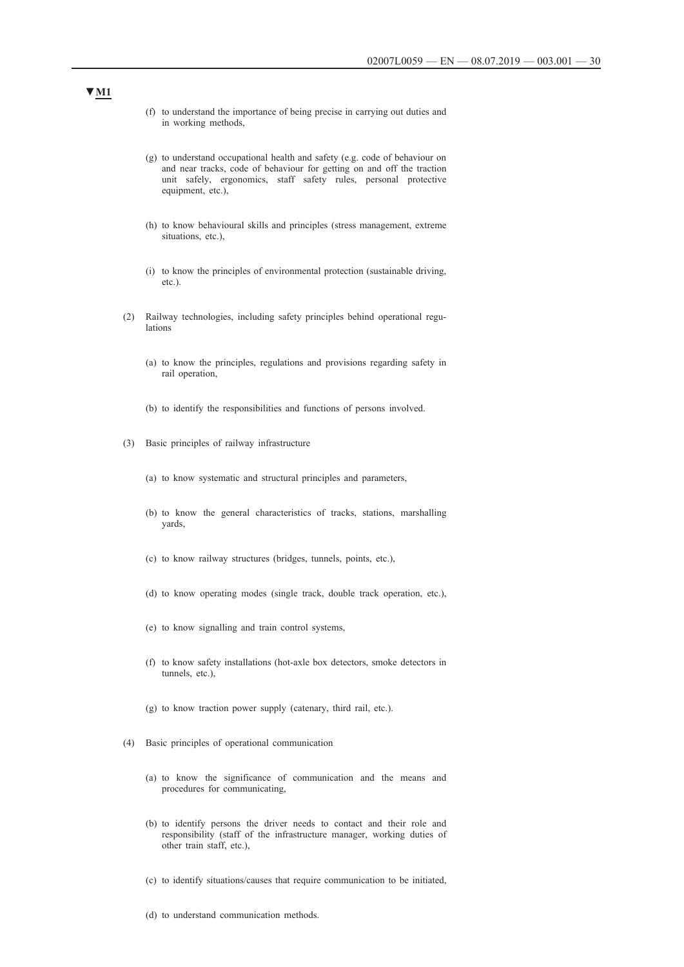- (f) to understand the importance of being precise in carrying out duties and in working methods,
- (g) to understand occupational health and safety (e.g. code of behaviour on and near tracks, code of behaviour for getting on and off the traction unit safely, ergonomics, staff safety rules, personal protective equipment, etc.),
- (h) to know behavioural skills and principles (stress management, extreme situations, etc.)
- (i) to know the principles of environmental protection (sustainable driving, etc.).
- (2) Railway technologies, including safety principles behind operational regulations
	- (a) to know the principles, regulations and provisions regarding safety in rail operation,
	- (b) to identify the responsibilities and functions of persons involved.
- (3) Basic principles of railway infrastructure
	- (a) to know systematic and structural principles and parameters,
	- (b) to know the general characteristics of tracks, stations, marshalling yards,
	- (c) to know railway structures (bridges, tunnels, points, etc.),
	- (d) to know operating modes (single track, double track operation, etc.),
	- (e) to know signalling and train control systems,
	- (f) to know safety installations (hot-axle box detectors, smoke detectors in tunnels, etc.),
	- (g) to know traction power supply (catenary, third rail, etc.).
- (4) Basic principles of operational communication
	- (a) to know the significance of communication and the means and procedures for communicating,
	- (b) to identify persons the driver needs to contact and their role and responsibility (staff of the infrastructure manager, working duties of other train staff, etc.),
	- (c) to identify situations/causes that require communication to be initiated,

(d) to understand communication methods.

# **▼M1**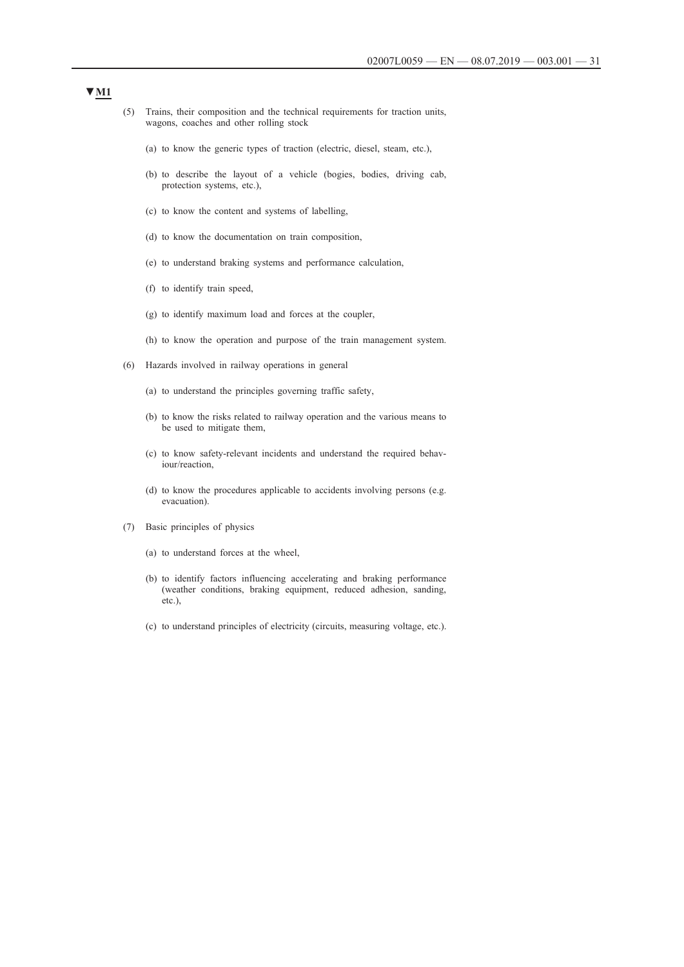- (5) Trains, their composition and the technical requirements for traction units, wagons, coaches and other rolling stock
	- (a) to know the generic types of traction (electric, diesel, steam, etc.),
	- (b) to describe the layout of a vehicle (bogies, bodies, driving cab, protection systems, etc.),
	- (c) to know the content and systems of labelling,
	- (d) to know the documentation on train composition,
	- (e) to understand braking systems and performance calculation,
	- (f) to identify train speed,
	- (g) to identify maximum load and forces at the coupler,
	- (h) to know the operation and purpose of the train management system.
- (6) Hazards involved in railway operations in general
	- (a) to understand the principles governing traffic safety,
	- (b) to know the risks related to railway operation and the various means to be used to mitigate them,
	- (c) to know safety-relevant incidents and understand the required behaviour/reaction,
	- (d) to know the procedures applicable to accidents involving persons (e.g. evacuation).
- (7) Basic principles of physics
	- (a) to understand forces at the wheel,
	- (b) to identify factors influencing accelerating and braking performance (weather conditions, braking equipment, reduced adhesion, sanding, etc.),
	- (c) to understand principles of electricity (circuits, measuring voltage, etc.).

## **▼M1**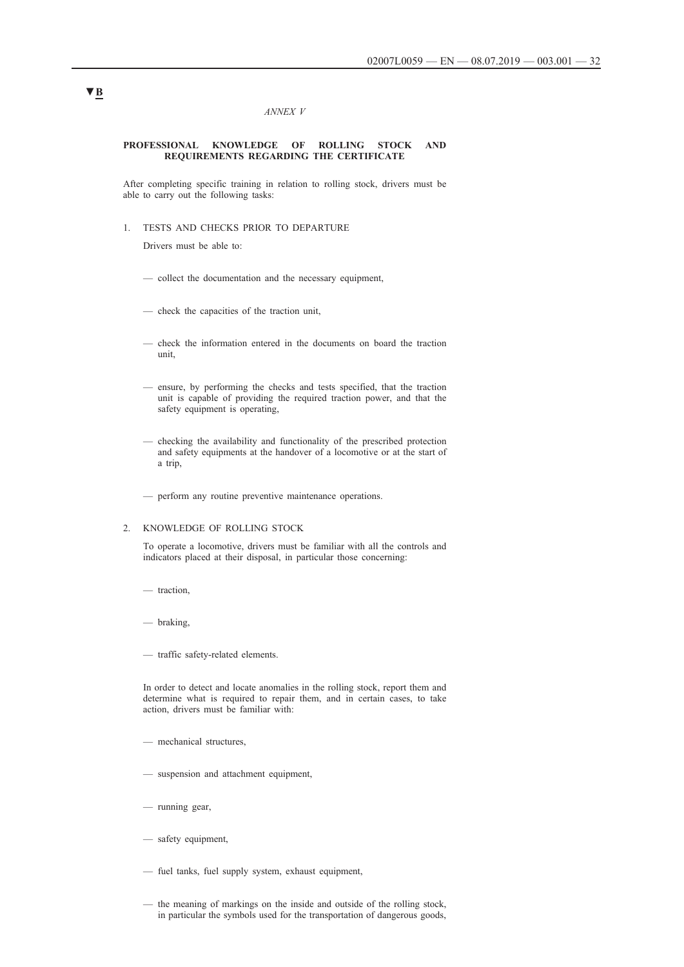#### *ANNEX V*

#### **PROFESSIONAL KNOWLEDGE OF ROLLING STOCK AND REQUIREMENTS REGARDING THE CERTIFICATE**

After completing specific training in relation to rolling stock, drivers must be able to carry out the following tasks:

1. TESTS AND CHECKS PRIOR TO DEPARTURE

Drivers must be able to:

- collect the documentation and the necessary equipment,
- check the capacities of the traction unit,
- check the information entered in the documents on board the traction unit,
- ensure, by performing the checks and tests specified, that the traction unit is capable of providing the required traction power, and that the safety equipment is operating,
- checking the availability and functionality of the prescribed protection and safety equipments at the handover of a locomotive or at the start of a trip,
- perform any routine preventive maintenance operations.

#### 2. KNOWLEDGE OF ROLLING STOCK

To operate a locomotive, drivers must be familiar with all the controls and indicators placed at their disposal, in particular those concerning:

- traction,
- braking,
- traffic safety-related elements.

In order to detect and locate anomalies in the rolling stock, report them and determine what is required to repair them, and in certain cases, to take action, drivers must be familiar with:

- mechanical structures,
- suspension and attachment equipment,
- running gear,
- safety equipment,
- fuel tanks, fuel supply system, exhaust equipment,
- the meaning of markings on the inside and outside of the rolling stock, in particular the symbols used for the transportation of dangerous goods,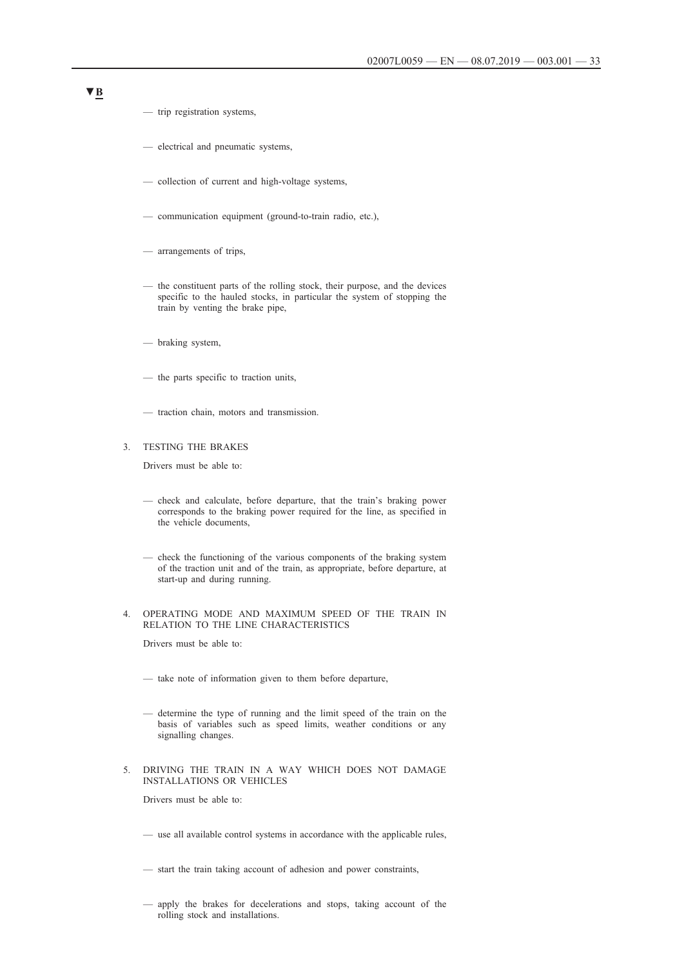- trip registration systems,
- electrical and pneumatic systems,
- collection of current and high-voltage systems,
- communication equipment (ground-to-train radio, etc.),
- arrangements of trips,
- the constituent parts of the rolling stock, their purpose, and the devices specific to the hauled stocks, in particular the system of stopping the train by venting the brake pipe,
- braking system,
- the parts specific to traction units,
- traction chain, motors and transmission.

## 3. TESTING THE BRAKES

Drivers must be able to:

- check and calculate, before departure, that the train's braking power corresponds to the braking power required for the line, as specified in the vehicle documents,
- check the functioning of the various components of the braking system of the traction unit and of the train, as appropriate, before departure, at start-up and during running.
- 4. OPERATING MODE AND MAXIMUM SPEED OF THE TRAIN IN RELATION TO THE LINE CHARACTERISTICS

Drivers must be able to:

- take note of information given to them before departure,
- determine the type of running and the limit speed of the train on the basis of variables such as speed limits, weather conditions or any signalling changes.
- 5. DRIVING THE TRAIN IN A WAY WHICH DOES NOT DAMAGE INSTALLATIONS OR VEHICLES

Drivers must be able to:

- use all available control systems in accordance with the applicable rules,
- start the train taking account of adhesion and power constraints,
- apply the brakes for decelerations and stops, taking account of the rolling stock and installations.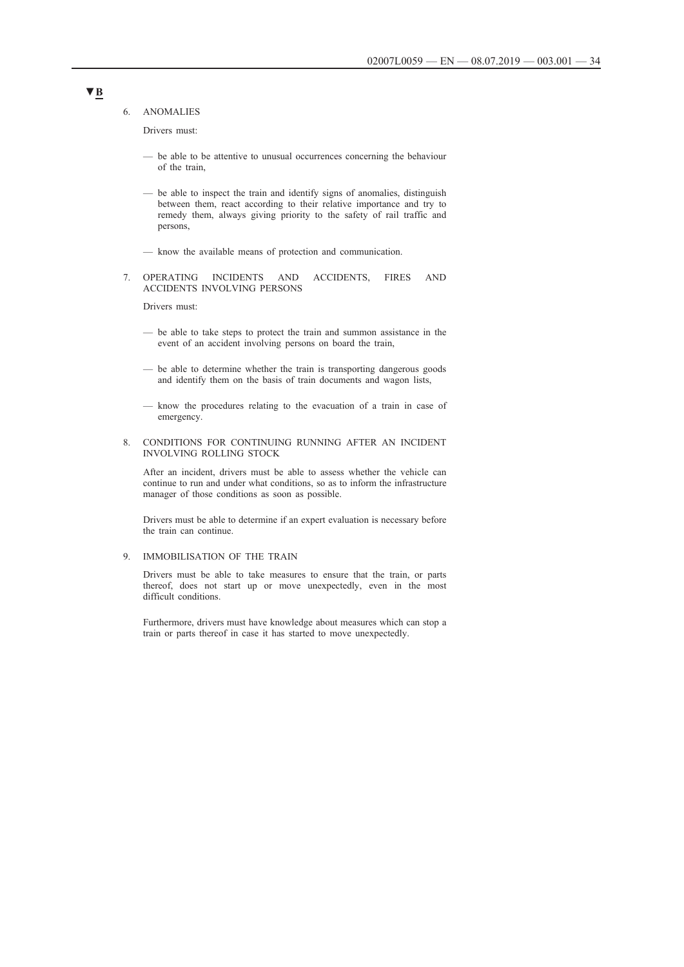6. ANOMALIES

Drivers must:

- be able to be attentive to unusual occurrences concerning the behaviour of the train,
- be able to inspect the train and identify signs of anomalies, distinguish between them, react according to their relative importance and try to remedy them, always giving priority to the safety of rail traffic and persons,
- know the available means of protection and communication.

### 7. OPERATING INCIDENTS AND ACCIDENTS, FIRES AND ACCIDENTS INVOLVING PERSONS

Drivers must:

- be able to take steps to protect the train and summon assistance in the event of an accident involving persons on board the train,
- be able to determine whether the train is transporting dangerous goods and identify them on the basis of train documents and wagon lists,
- know the procedures relating to the evacuation of a train in case of emergency.
- 8. CONDITIONS FOR CONTINUING RUNNING AFTER AN INCIDENT INVOLVING ROLLING STOCK

After an incident, drivers must be able to assess whether the vehicle can continue to run and under what conditions, so as to inform the infrastructure manager of those conditions as soon as possible.

Drivers must be able to determine if an expert evaluation is necessary before the train can continue.

### 9. IMMOBILISATION OF THE TRAIN

Drivers must be able to take measures to ensure that the train, or parts thereof, does not start up or move unexpectedly, even in the most difficult conditions.

Furthermore, drivers must have knowledge about measures which can stop a train or parts thereof in case it has started to move unexpectedly.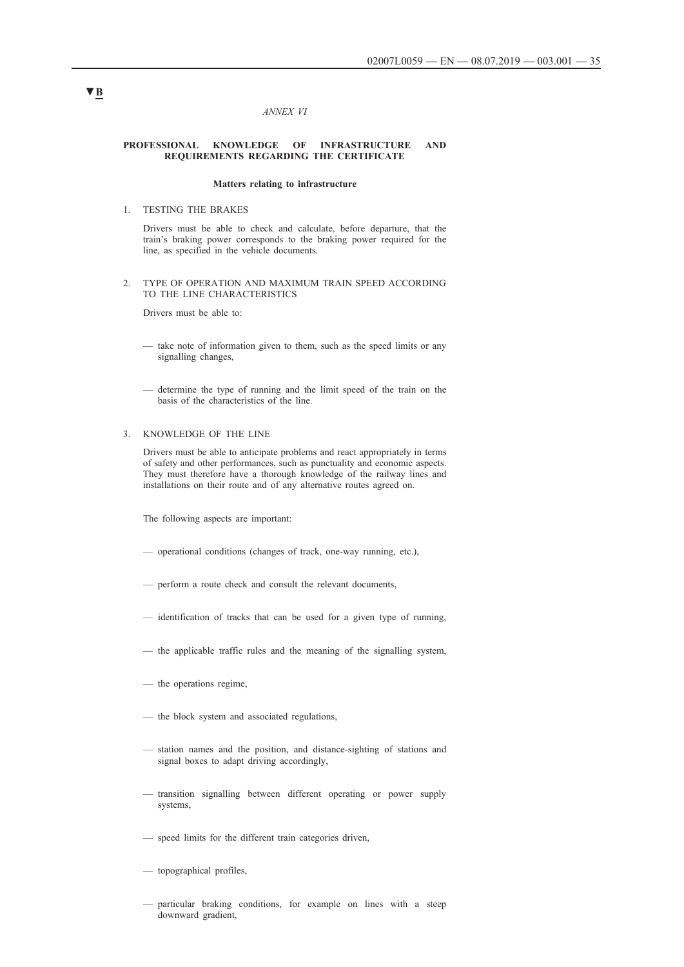#### *ANNEX VI*

#### **PROFESSIONAL KNOWLEDGE OF INFRASTRUCTURE AND REQUIREMENTS REGARDING THE CERTIFICATE**

### **Matters relating to infrastructure**

1. TESTING THE BRAKES

Drivers must be able to check and calculate, before departure, that the train's braking power corresponds to the braking power required for the line, as specified in the vehicle documents.

2. TYPE OF OPERATION AND MAXIMUM TRAIN SPEED ACCORDING TO THE LINE CHARACTERISTICS

Drivers must be able to:

- take note of information given to them, such as the speed limits or any signalling changes,
- determine the type of running and the limit speed of the train on the basis of the characteristics of the line.

### 3. KNOWLEDGE OF THE LINE

Drivers must be able to anticipate problems and react appropriately in terms of safety and other performances, such as punctuality and economic aspects. They must therefore have a thorough knowledge of the railway lines and installations on their route and of any alternative routes agreed on.

The following aspects are important:

- operational conditions (changes of track, one-way running, etc.),
- perform a route check and consult the relevant documents,
- identification of tracks that can be used for a given type of running,
- the applicable traffic rules and the meaning of the signalling system,
- the operations regime,
- the block system and associated regulations,
- station names and the position, and distance-sighting of stations and signal boxes to adapt driving accordingly,
- transition signalling between different operating or power supply systems,
- speed limits for the different train categories driven,
- topographical profiles,
- particular braking conditions, for example on lines with a steep downward gradient,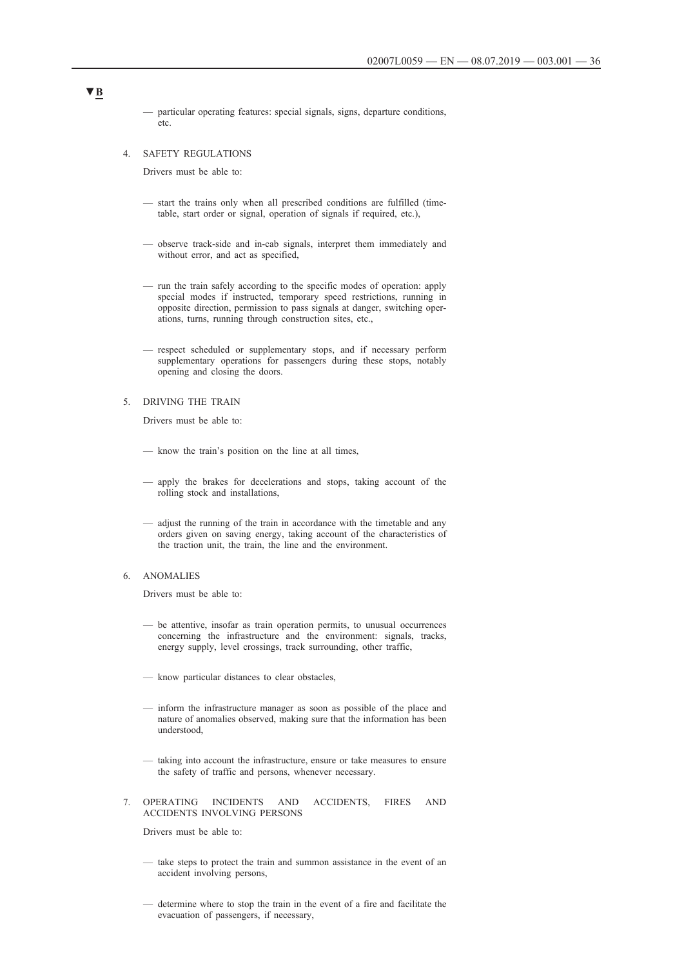— particular operating features: special signals, signs, departure conditions, etc.

#### 4. SAFETY REGULATIONS

Drivers must be able to:

- start the trains only when all prescribed conditions are fulfilled (timetable, start order or signal, operation of signals if required, etc.),
- observe track-side and in-cab signals, interpret them immediately and without error, and act as specified,
- run the train safely according to the specific modes of operation: apply special modes if instructed, temporary speed restrictions, running in opposite direction, permission to pass signals at danger, switching operations, turns, running through construction sites, etc.,
- respect scheduled or supplementary stops, and if necessary perform supplementary operations for passengers during these stops, notably opening and closing the doors.

5. DRIVING THE TRAIN

Drivers must be able to:

- know the train's position on the line at all times,
- apply the brakes for decelerations and stops, taking account of the rolling stock and installations,
- adjust the running of the train in accordance with the timetable and any orders given on saving energy, taking account of the characteristics of the traction unit, the train, the line and the environment.

### 6. ANOMALIES

Drivers must be able to:

- be attentive, insofar as train operation permits, to unusual occurrences concerning the infrastructure and the environment: signals, tracks, energy supply, level crossings, track surrounding, other traffic,
- know particular distances to clear obstacles,
- inform the infrastructure manager as soon as possible of the place and nature of anomalies observed, making sure that the information has been understood,
- taking into account the infrastructure, ensure or take measures to ensure the safety of traffic and persons, whenever necessary.
- 7. OPERATING INCIDENTS AND ACCIDENTS, FIRES AND ACCIDENTS INVOLVING PERSONS

Drivers must be able to:

- take steps to protect the train and summon assistance in the event of an accident involving persons,
- determine where to stop the train in the event of a fire and facilitate the evacuation of passengers, if necessary,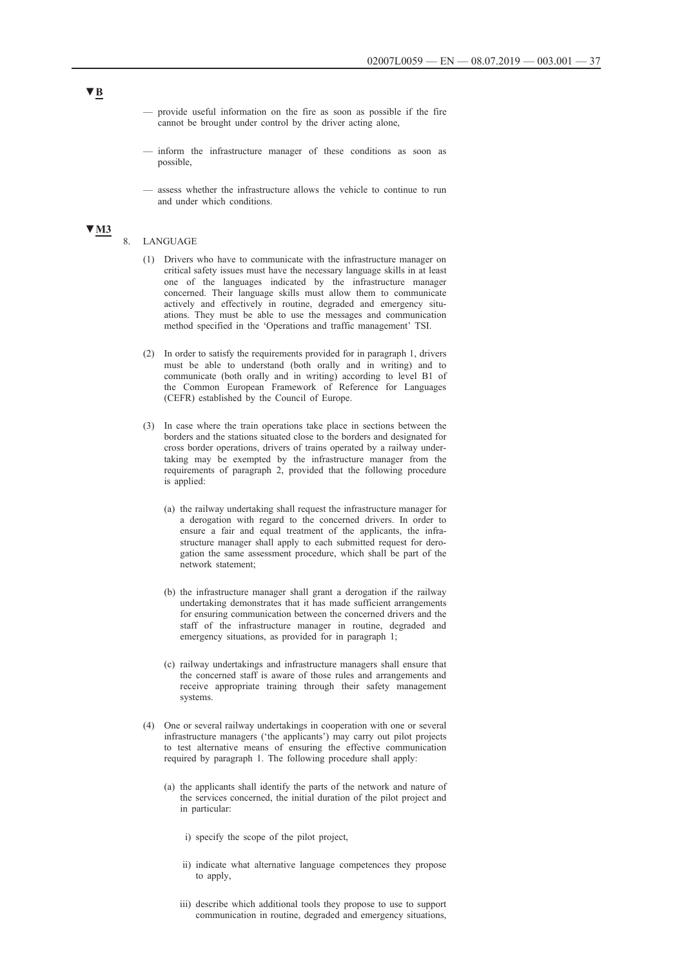- provide useful information on the fire as soon as possible if the fire cannot be brought under control by the driver acting alone,
- inform the infrastructure manager of these conditions as soon as possible,
- assess whether the infrastructure allows the vehicle to continue to run and under which conditions.

# **▼M3**

## 8. LANGUAGE

- (1) Drivers who have to communicate with the infrastructure manager on critical safety issues must have the necessary language skills in at least one of the languages indicated by the infrastructure manager concerned. Their language skills must allow them to communicate actively and effectively in routine, degraded and emergency situations. They must be able to use the messages and communication method specified in the 'Operations and traffic management' TSI.
- (2) In order to satisfy the requirements provided for in paragraph 1, drivers must be able to understand (both orally and in writing) and to communicate (both orally and in writing) according to level B1 of the Common European Framework of Reference for Languages (CEFR) established by the Council of Europe.
- (3) In case where the train operations take place in sections between the borders and the stations situated close to the borders and designated for cross border operations, drivers of trains operated by a railway undertaking may be exempted by the infrastructure manager from the requirements of paragraph 2, provided that the following procedure is applied:
	- (a) the railway undertaking shall request the infrastructure manager for a derogation with regard to the concerned drivers. In order to ensure a fair and equal treatment of the applicants, the infrastructure manager shall apply to each submitted request for derogation the same assessment procedure, which shall be part of the network statement;
	- (b) the infrastructure manager shall grant a derogation if the railway undertaking demonstrates that it has made sufficient arrangements for ensuring communication between the concerned drivers and the staff of the infrastructure manager in routine, degraded and emergency situations, as provided for in paragraph 1;
	- (c) railway undertakings and infrastructure managers shall ensure that the concerned staff is aware of those rules and arrangements and receive appropriate training through their safety management systems.
- (4) One or several railway undertakings in cooperation with one or several infrastructure managers ('the applicants') may carry out pilot projects to test alternative means of ensuring the effective communication required by paragraph 1. The following procedure shall apply:
	- (a) the applicants shall identify the parts of the network and nature of the services concerned, the initial duration of the pilot project and in particular:
		- i) specify the scope of the pilot project,
		- ii) indicate what alternative language competences they propose to apply,
		- iii) describe which additional tools they propose to use to support communication in routine, degraded and emergency situations,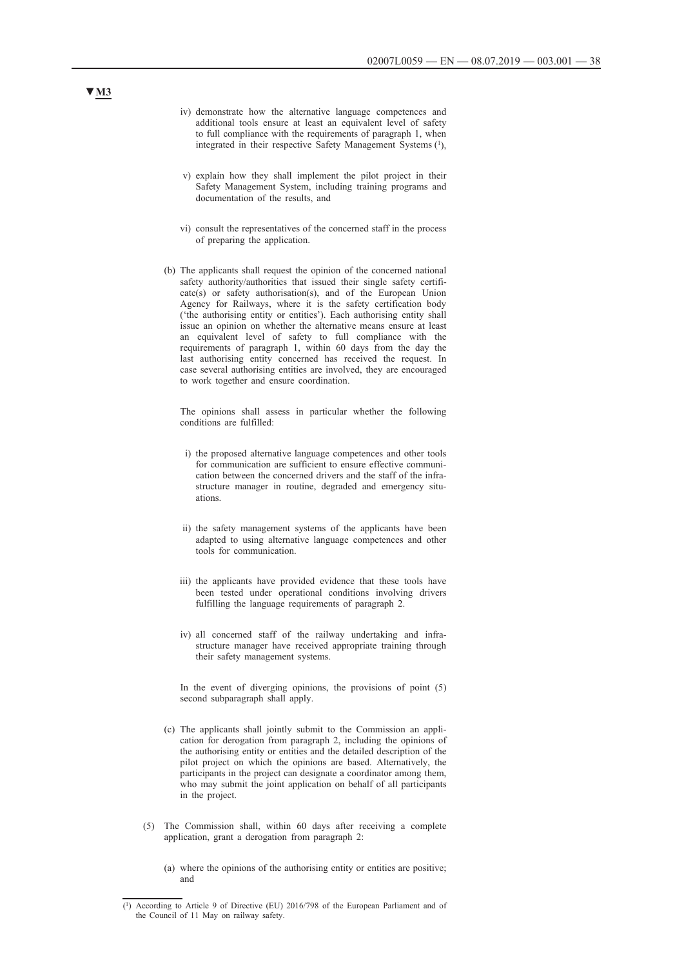- iv) demonstrate how the alternative language competences and additional tools ensure at least an equivalent level of safety to full compliance with the requirements of paragraph 1, when integrated in their respective Safety Management Systems (1),
- v) explain how they shall implement the pilot project in their Safety Management System, including training programs and documentation of the results, and
- vi) consult the representatives of the concerned staff in the process of preparing the application.
- (b) The applicants shall request the opinion of the concerned national safety authority/authorities that issued their single safety certificate(s) or safety authorisation(s), and of the European Union Agency for Railways, where it is the safety certification body ('the authorising entity or entities'). Each authorising entity shall issue an opinion on whether the alternative means ensure at least an equivalent level of safety to full compliance with the requirements of paragraph 1, within 60 days from the day the last authorising entity concerned has received the request. In case several authorising entities are involved, they are encouraged to work together and ensure coordination.

The opinions shall assess in particular whether the following conditions are fulfilled:

- i) the proposed alternative language competences and other tools for communication are sufficient to ensure effective communication between the concerned drivers and the staff of the infrastructure manager in routine, degraded and emergency situations.
- ii) the safety management systems of the applicants have been adapted to using alternative language competences and other tools for communication.
- iii) the applicants have provided evidence that these tools have been tested under operational conditions involving drivers fulfilling the language requirements of paragraph 2.
- iv) all concerned staff of the railway undertaking and infrastructure manager have received appropriate training through their safety management systems.

In the event of diverging opinions, the provisions of point (5) second subparagraph shall apply.

- (c) The applicants shall jointly submit to the Commission an application for derogation from paragraph 2, including the opinions of the authorising entity or entities and the detailed description of the pilot project on which the opinions are based. Alternatively, the participants in the project can designate a coordinator among them, who may submit the joint application on behalf of all participants in the project.
- (5) The Commission shall, within 60 days after receiving a complete application, grant a derogation from paragraph 2:
	- (a) where the opinions of the authorising entity or entities are positive; and

# **▼M3**

<sup>(1)</sup> According to Article 9 of Directive (EU) 2016/798 of the European Parliament and of the Council of 11 May on railway safety.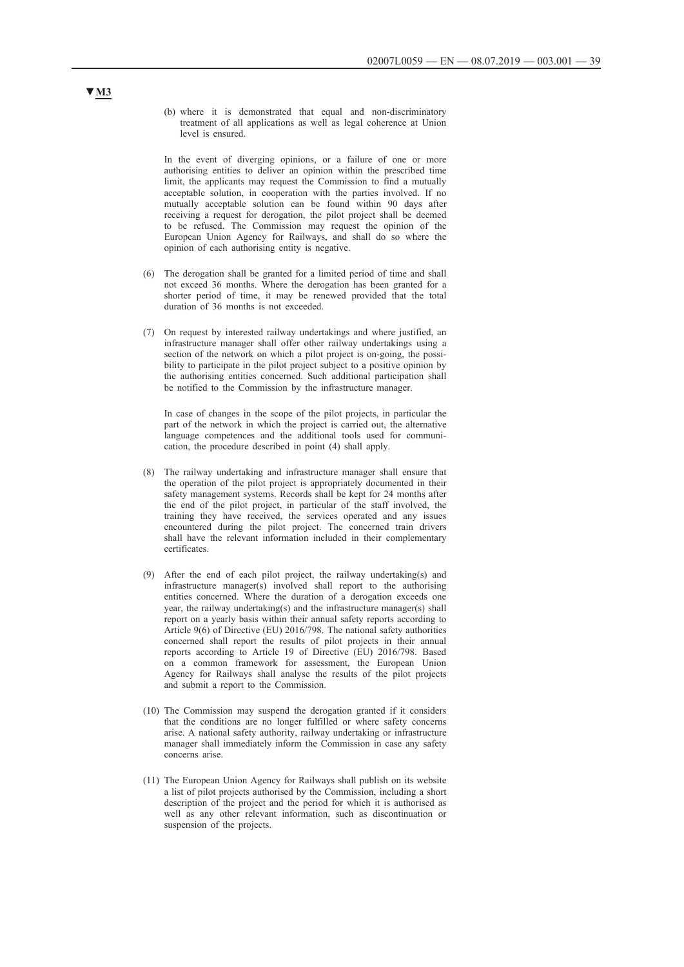(b) where it is demonstrated that equal and non-discriminatory treatment of all applications as well as legal coherence at Union level is ensured.

In the event of diverging opinions, or a failure of one or more authorising entities to deliver an opinion within the prescribed time limit, the applicants may request the Commission to find a mutually acceptable solution, in cooperation with the parties involved. If no mutually acceptable solution can be found within 90 days after receiving a request for derogation, the pilot project shall be deemed to be refused. The Commission may request the opinion of the European Union Agency for Railways, and shall do so where the opinion of each authorising entity is negative.

- (6) The derogation shall be granted for a limited period of time and shall not exceed 36 months. Where the derogation has been granted for a shorter period of time, it may be renewed provided that the total duration of 36 months is not exceeded.
- (7) On request by interested railway undertakings and where justified, an infrastructure manager shall offer other railway undertakings using a section of the network on which a pilot project is on-going, the possibility to participate in the pilot project subject to a positive opinion by the authorising entities concerned. Such additional participation shall be notified to the Commission by the infrastructure manager.

In case of changes in the scope of the pilot projects, in particular the part of the network in which the project is carried out, the alternative language competences and the additional tools used for communication, the procedure described in point (4) shall apply.

- (8) The railway undertaking and infrastructure manager shall ensure that the operation of the pilot project is appropriately documented in their safety management systems. Records shall be kept for 24 months after the end of the pilot project, in particular of the staff involved, the training they have received, the services operated and any issues encountered during the pilot project. The concerned train drivers shall have the relevant information included in their complementary certificates.
- (9) After the end of each pilot project, the railway undertaking(s) and infrastructure manager(s) involved shall report to the authorising entities concerned. Where the duration of a derogation exceeds one year, the railway undertaking(s) and the infrastructure manager(s) shall report on a yearly basis within their annual safety reports according to Article 9(6) of Directive (EU) 2016/798. The national safety authorities concerned shall report the results of pilot projects in their annual reports according to Article 19 of Directive (EU) 2016/798. Based on a common framework for assessment, the European Union Agency for Railways shall analyse the results of the pilot projects and submit a report to the Commission.
- (10) The Commission may suspend the derogation granted if it considers that the conditions are no longer fulfilled or where safety concerns arise. A national safety authority, railway undertaking or infrastructure manager shall immediately inform the Commission in case any safety concerns arise.
- (11) The European Union Agency for Railways shall publish on its website a list of pilot projects authorised by the Commission, including a short description of the project and the period for which it is authorised as well as any other relevant information, such as discontinuation or suspension of the projects.

# **▼M3**